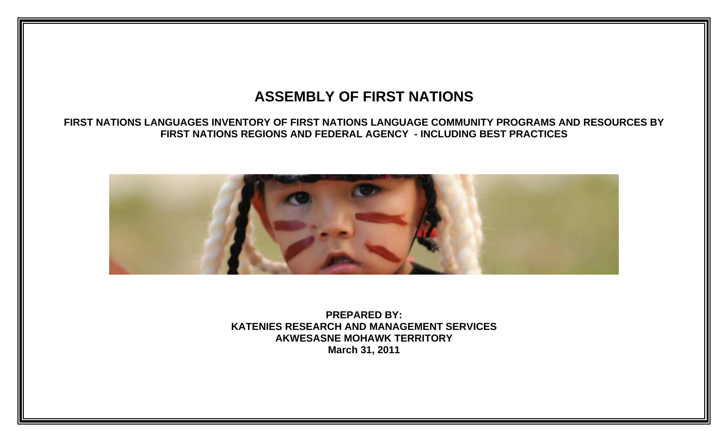## **ASSEMBLY OF FIRST NATIONS**

## **FIRST NATIONS LANGUAGES INVENTORY OF FIRST NATIONS LANGUAGE COMMUNITY PROGRAMS AND RESOURCES BY FIRST NATIONS REGIONS AND FEDERAL AGENCY - INCLUDING BEST PRACTICES**



**PREPARED BY: KATENIES RESEARCH AND MANAGEMENT SERVICES AKWESASNE MOHAWK TERRITORY March 31, 2011**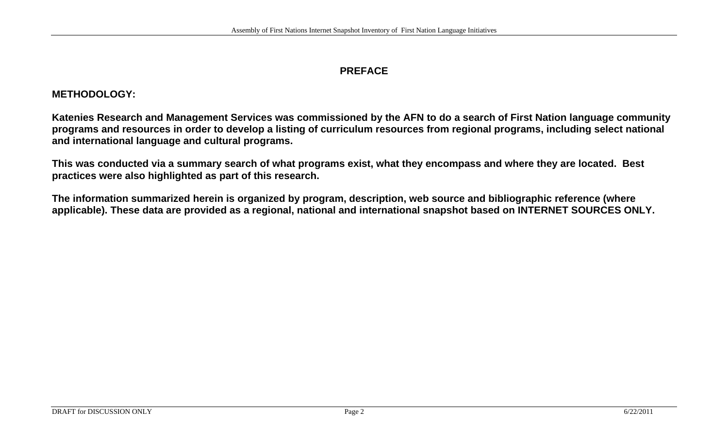## **PREFACE**

## **METHODOLOGY:**

**Katenies Research and Management Services was commissioned by the AFN to do a search of First Nation language community programs and resources in order to develop a listing of curriculum resources from regional programs, including select national and international language and cultural programs.** 

**This was conducted via a summary search of what programs exist, what they encompass and where they are located. Best practices were also highlighted as part of this research.** 

**The information summarized herein is organized by program, description, web source and bibliographic reference (where applicable). These data are provided as a regional, national and international snapshot based on INTERNET SOURCES ONLY.**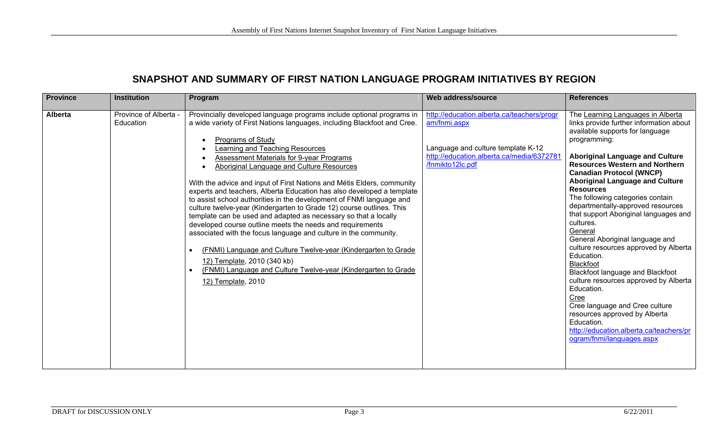## **SNAPSHOT AND SUMMARY OF FIRST NATION LANGUAGE PROGRAM INITIATIVES BY REGION**

| <b>Province</b> | <b>Institution</b>                 | Program                                                                                                                                                                                                                                                                                                                                                                                                                                                                                                                                                                                                                                                                                                                                                                                                                                                                                                                                                                                                                | Web address/source                                                                                                                                                | <b>References</b>                                                                                                                                                                                                                                                                                                                                                                                                                                                                                                                                                                                                                                                                                                                                                                                                                |
|-----------------|------------------------------------|------------------------------------------------------------------------------------------------------------------------------------------------------------------------------------------------------------------------------------------------------------------------------------------------------------------------------------------------------------------------------------------------------------------------------------------------------------------------------------------------------------------------------------------------------------------------------------------------------------------------------------------------------------------------------------------------------------------------------------------------------------------------------------------------------------------------------------------------------------------------------------------------------------------------------------------------------------------------------------------------------------------------|-------------------------------------------------------------------------------------------------------------------------------------------------------------------|----------------------------------------------------------------------------------------------------------------------------------------------------------------------------------------------------------------------------------------------------------------------------------------------------------------------------------------------------------------------------------------------------------------------------------------------------------------------------------------------------------------------------------------------------------------------------------------------------------------------------------------------------------------------------------------------------------------------------------------------------------------------------------------------------------------------------------|
| <b>Alberta</b>  | Province of Alberta -<br>Education | Provincially developed language programs include optional programs in<br>a wide variety of First Nations languages, including Blackfoot and Cree.<br>Programs of Study<br>$\bullet$<br>Learning and Teaching Resources<br><b>Assessment Materials for 9-year Programs</b><br>Aboriginal Language and Culture Resources<br>With the advice and input of First Nations and Métis Elders, community<br>experts and teachers, Alberta Education has also developed a template<br>to assist school authorities in the development of FNMI language and<br>culture twelve-year (Kindergarten to Grade 12) course outlines. This<br>template can be used and adapted as necessary so that a locally<br>developed course outline meets the needs and requirements<br>associated with the focus language and culture in the community.<br>(FNMI) Language and Culture Twelve-year (Kindergarten to Grade<br>12) Template, 2010 (340 kb)<br>(FNMI) Language and Culture Twelve-year (Kindergarten to Grade<br>12) Template, 2010 | http://education.alberta.ca/teachers/progr<br>am/fnmi.aspx<br>Language and culture template K-12<br>http://education.alberta.ca/media/6372781<br>/fnmikto12lc.pdf | The Learning Languages in Alberta<br>links provide further information about<br>available supports for language<br>programming:<br><b>Aboriginal Language and Culture</b><br><b>Resources Western and Northern</b><br><b>Canadian Protocol (WNCP)</b><br><b>Aboriginal Language and Culture</b><br><b>Resources</b><br>The following categories contain<br>departmentally-approved resources<br>that support Aboriginal languages and<br>cultures.<br>General<br>General Aboriginal language and<br>culture resources approved by Alberta<br>Education.<br>Blackfoot<br>Blackfoot language and Blackfoot<br>culture resources approved by Alberta<br>Education.<br>Cree<br>Cree language and Cree culture<br>resources approved by Alberta<br>Education.<br>http://education.alberta.ca/teachers/pr<br>ogram/fnmi/languages.aspx |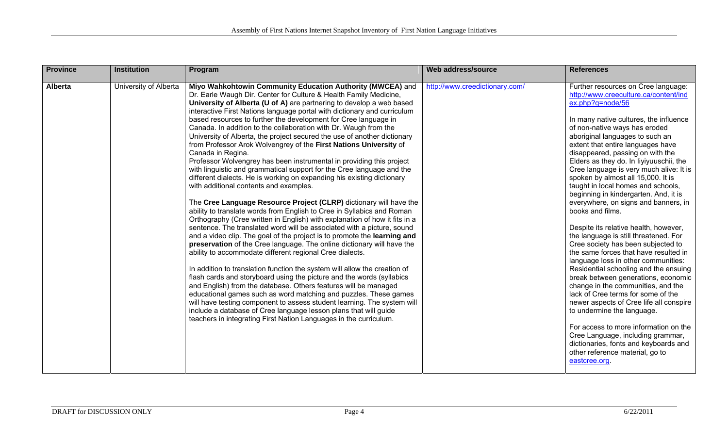| <b>Province</b> | <b>Institution</b>    | Program                                                                                                                                                                                                                                                                                                                                                                                                                                                                                                                                                                                                                                                                                                                                                                                                                                                                                                                                                                                                                                                                                                                                                                                                                                                                                                                                                                                                                                                                                                                                                                                                                                                                                                                                                                                                                                                                                                          | Web address/source             | <b>References</b>                                                                                                                                                                                                                                                                                                                                                                                                                                                                                                                                                                                                                                                                                                                                                                                                                                                                                                                                                                                                                                                                                                                                                                      |
|-----------------|-----------------------|------------------------------------------------------------------------------------------------------------------------------------------------------------------------------------------------------------------------------------------------------------------------------------------------------------------------------------------------------------------------------------------------------------------------------------------------------------------------------------------------------------------------------------------------------------------------------------------------------------------------------------------------------------------------------------------------------------------------------------------------------------------------------------------------------------------------------------------------------------------------------------------------------------------------------------------------------------------------------------------------------------------------------------------------------------------------------------------------------------------------------------------------------------------------------------------------------------------------------------------------------------------------------------------------------------------------------------------------------------------------------------------------------------------------------------------------------------------------------------------------------------------------------------------------------------------------------------------------------------------------------------------------------------------------------------------------------------------------------------------------------------------------------------------------------------------------------------------------------------------------------------------------------------------|--------------------------------|----------------------------------------------------------------------------------------------------------------------------------------------------------------------------------------------------------------------------------------------------------------------------------------------------------------------------------------------------------------------------------------------------------------------------------------------------------------------------------------------------------------------------------------------------------------------------------------------------------------------------------------------------------------------------------------------------------------------------------------------------------------------------------------------------------------------------------------------------------------------------------------------------------------------------------------------------------------------------------------------------------------------------------------------------------------------------------------------------------------------------------------------------------------------------------------|
| <b>Alberta</b>  | University of Alberta | Miyo Wahkohtowin Community Education Authority (MWCEA) and<br>Dr. Earle Waugh Dir. Center for Culture & Health Family Medicine,<br>University of Alberta (U of A) are partnering to develop a web based<br>interactive First Nations language portal with dictionary and curriculum<br>based resources to further the development for Cree language in<br>Canada. In addition to the collaboration with Dr. Waugh from the<br>University of Alberta, the project secured the use of another dictionary<br>from Professor Arok Wolvengrey of the First Nations University of<br>Canada in Regina.<br>Professor Wolvengrey has been instrumental in providing this project<br>with linguistic and grammatical support for the Cree language and the<br>different dialects. He is working on expanding his existing dictionary<br>with additional contents and examples.<br>The Cree Language Resource Project (CLRP) dictionary will have the<br>ability to translate words from English to Cree in Syllabics and Roman<br>Orthography (Cree written in English) with explanation of how it fits in a<br>sentence. The translated word will be associated with a picture, sound<br>and a video clip. The goal of the project is to promote the learning and<br>preservation of the Cree language. The online dictionary will have the<br>ability to accommodate different regional Cree dialects.<br>In addition to translation function the system will allow the creation of<br>flash cards and storyboard using the picture and the words (syllabics<br>and English) from the database. Others features will be managed<br>educational games such as word matching and puzzles. These games<br>will have testing component to assess student learning. The system will<br>include a database of Cree language lesson plans that will guide<br>teachers in integrating First Nation Languages in the curriculum. | http://www.creedictionary.com/ | Further resources on Cree language:<br>http://www.creeculture.ca/content/ind<br>ex.php?q=node/56<br>In many native cultures, the influence<br>of non-native ways has eroded<br>aboriginal languages to such an<br>extent that entire languages have<br>disappeared, passing on with the<br>Elders as they do. In liyiyuuschii, the<br>Cree language is very much alive: It is<br>spoken by almost all 15,000. It is<br>taught in local homes and schools,<br>beginning in kindergarten. And, it is<br>everywhere, on signs and banners, in<br>books and films.<br>Despite its relative health, however,<br>the language is still threatened. For<br>Cree society has been subjected to<br>the same forces that have resulted in<br>language loss in other communities:<br>Residential schooling and the ensuing<br>break between generations, economic<br>change in the communities, and the<br>lack of Cree terms for some of the<br>newer aspects of Cree life all conspire<br>to undermine the language.<br>For access to more information on the<br>Cree Language, including grammar,<br>dictionaries, fonts and keyboards and<br>other reference material, go to<br>eastcree.org. |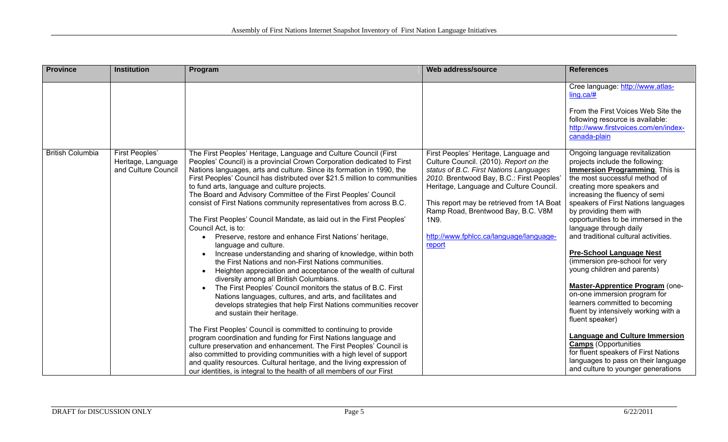| <b>Province</b>         | <b>Institution</b>                                          | Program                                                                                                                                                                                                                                                                                                                                                                                                                                                                                                                                                                                                                                                                                                                                                                                                                                                                                                                                                                                                                                                                                                                                                                                                                                                                                                                                                                                                                                                                                                                                                                                                                                        | Web address/source                                                                                                                                                                                                                                                                                                                                                | <b>References</b>                                                                                                                                                                                                                                                                                                                                                                                                                                                                                                                                                                                                                                                                                                                                                                                                                                |
|-------------------------|-------------------------------------------------------------|------------------------------------------------------------------------------------------------------------------------------------------------------------------------------------------------------------------------------------------------------------------------------------------------------------------------------------------------------------------------------------------------------------------------------------------------------------------------------------------------------------------------------------------------------------------------------------------------------------------------------------------------------------------------------------------------------------------------------------------------------------------------------------------------------------------------------------------------------------------------------------------------------------------------------------------------------------------------------------------------------------------------------------------------------------------------------------------------------------------------------------------------------------------------------------------------------------------------------------------------------------------------------------------------------------------------------------------------------------------------------------------------------------------------------------------------------------------------------------------------------------------------------------------------------------------------------------------------------------------------------------------------|-------------------------------------------------------------------------------------------------------------------------------------------------------------------------------------------------------------------------------------------------------------------------------------------------------------------------------------------------------------------|--------------------------------------------------------------------------------------------------------------------------------------------------------------------------------------------------------------------------------------------------------------------------------------------------------------------------------------------------------------------------------------------------------------------------------------------------------------------------------------------------------------------------------------------------------------------------------------------------------------------------------------------------------------------------------------------------------------------------------------------------------------------------------------------------------------------------------------------------|
|                         |                                                             |                                                                                                                                                                                                                                                                                                                                                                                                                                                                                                                                                                                                                                                                                                                                                                                                                                                                                                                                                                                                                                                                                                                                                                                                                                                                                                                                                                                                                                                                                                                                                                                                                                                |                                                                                                                                                                                                                                                                                                                                                                   | Cree language: http://www.atlas-<br>$ling.ca/\#$<br>From the First Voices Web Site the<br>following resource is available:<br>http://www.firstvoices.com/en/index-<br>canada-plain                                                                                                                                                                                                                                                                                                                                                                                                                                                                                                                                                                                                                                                               |
| <b>British Columbia</b> | First Peoples'<br>Heritage, Language<br>and Culture Council | The First Peoples' Heritage, Language and Culture Council (First<br>Peoples' Council) is a provincial Crown Corporation dedicated to First<br>Nations languages, arts and culture. Since its formation in 1990, the<br>First Peoples' Council has distributed over \$21.5 million to communities<br>to fund arts, language and culture projects.<br>The Board and Advisory Committee of the First Peoples' Council<br>consist of First Nations community representatives from across B.C.<br>The First Peoples' Council Mandate, as laid out in the First Peoples'<br>Council Act, is to:<br>Preserve, restore and enhance First Nations' heritage,<br>$\bullet$<br>language and culture.<br>Increase understanding and sharing of knowledge, within both<br>$\bullet$<br>the First Nations and non-First Nations communities.<br>Heighten appreciation and acceptance of the wealth of cultural<br>$\bullet$<br>diversity among all British Columbians.<br>The First Peoples' Council monitors the status of B.C. First<br>$\bullet$<br>Nations languages, cultures, and arts, and facilitates and<br>develops strategies that help First Nations communities recover<br>and sustain their heritage.<br>The First Peoples' Council is committed to continuing to provide<br>program coordination and funding for First Nations language and<br>culture preservation and enhancement. The First Peoples' Council is<br>also committed to providing communities with a high level of support<br>and quality resources. Cultural heritage, and the living expression of<br>our identities, is integral to the health of all members of our First | First Peoples' Heritage, Language and<br>Culture Council. (2010). Report on the<br>status of B.C. First Nations Languages<br>2010. Brentwood Bay, B.C.: First Peoples'<br>Heritage, Language and Culture Council.<br>This report may be retrieved from 1A Boat<br>Ramp Road, Brentwood Bay, B.C. V8M<br>1N9.<br>http://www.fphlcc.ca/language/language-<br>report | Ongoing language revitalization<br>projects include the following:<br>Immersion Programming. This is<br>the most successful method of<br>creating more speakers and<br>increasing the fluency of semi<br>speakers of First Nations languages<br>by providing them with<br>opportunities to be immersed in the<br>language through daily<br>and traditional cultural activities.<br><b>Pre-School Language Nest</b><br>(immersion pre-school for very<br>young children and parents)<br>Master-Apprentice Program (one-<br>on-one immersion program for<br>learners committed to becoming<br>fluent by intensively working with a<br>fluent speaker)<br><b>Language and Culture Immersion</b><br><b>Camps</b> (Opportunities<br>for fluent speakers of First Nations<br>languages to pass on their language<br>and culture to younger generations |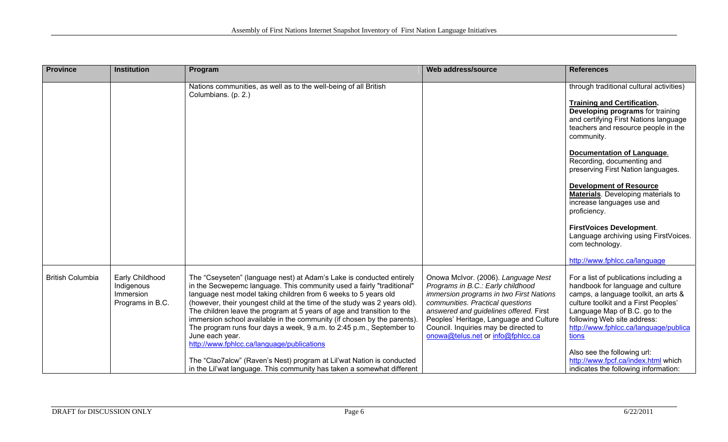| <b>Province</b>         | <b>Institution</b>                                             | Program                                                                                                                                                                                                                                                                                                                                                                                                                                                                                                                                                                                                                                                                                                                                        | Web address/source                                                                                                                                                                                                                                                                                                         | <b>References</b>                                                                                                                                                                                                                                                                                                                                                                                                                                                                                                                                                               |
|-------------------------|----------------------------------------------------------------|------------------------------------------------------------------------------------------------------------------------------------------------------------------------------------------------------------------------------------------------------------------------------------------------------------------------------------------------------------------------------------------------------------------------------------------------------------------------------------------------------------------------------------------------------------------------------------------------------------------------------------------------------------------------------------------------------------------------------------------------|----------------------------------------------------------------------------------------------------------------------------------------------------------------------------------------------------------------------------------------------------------------------------------------------------------------------------|---------------------------------------------------------------------------------------------------------------------------------------------------------------------------------------------------------------------------------------------------------------------------------------------------------------------------------------------------------------------------------------------------------------------------------------------------------------------------------------------------------------------------------------------------------------------------------|
|                         |                                                                | Nations communities, as well as to the well-being of all British<br>Columbians. (p. 2.)                                                                                                                                                                                                                                                                                                                                                                                                                                                                                                                                                                                                                                                        |                                                                                                                                                                                                                                                                                                                            | through traditional cultural activities)<br><b>Training and Certification.</b><br>Developing programs for training<br>and certifying First Nations language<br>teachers and resource people in the<br>community.<br><b>Documentation of Language.</b><br>Recording, documenting and<br>preserving First Nation languages.<br><b>Development of Resource</b><br>Materials. Developing materials to<br>increase languages use and<br>proficiency.<br><b>FirstVoices Development.</b><br>Language archiving using FirstVoices.<br>com technology.<br>http://www.fphlcc.ca/language |
| <b>British Columbia</b> | Early Childhood<br>Indigenous<br>Immersion<br>Programs in B.C. | The "Cseyseten" (language nest) at Adam's Lake is conducted entirely<br>in the Secwepemc language. This community used a fairly "traditional"<br>language nest model taking children from 6 weeks to 5 years old<br>(however, their youngest child at the time of the study was 2 years old).<br>The children leave the program at 5 years of age and transition to the<br>immersion school available in the community (if chosen by the parents).<br>The program runs four days a week, 9 a.m. to 2:45 p.m., September to<br>June each year.<br>http://www.fphlcc.ca/language/publications<br>The "Clao7alcw" (Raven's Nest) program at Lil'wat Nation is conducted<br>in the Lil'wat language. This community has taken a somewhat different | Onowa McIvor. (2006). Language Nest<br>Programs in B.C.: Early childhood<br>immersion programs in two First Nations<br>communities. Practical questions<br>answered and guidelines offered. First<br>Peoples' Heritage, Language and Culture<br>Council. Inquiries may be directed to<br>onowa@telus.net or info@fphlcc.ca | For a list of publications including a<br>handbook for language and culture<br>camps, a language toolkit, an arts &<br>culture toolkit and a First Peoples'<br>Language Map of B.C. go to the<br>following Web site address:<br>http://www.fphlcc.ca/language/publica<br>tions<br>Also see the following url:<br>http://www.fpcf.ca/index.html which<br>indicates the following information:                                                                                                                                                                                    |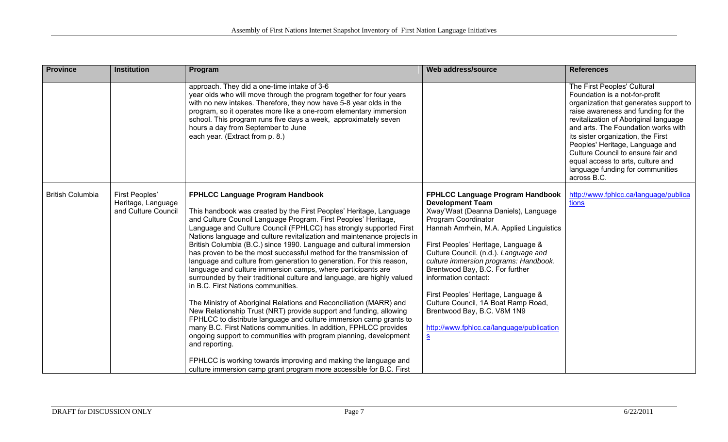| <b>Province</b>         | <b>Institution</b>                                          | Program                                                                                                                                                                                                                                                                                                                                                                                                                                                                                                                                                                                                                                                                                                                                                                                                                                                                                                                                                                                                                                                                                                                                                                                                                                                         | Web address/source                                                                                                                                                                                                                                                                                                                                                                                                                                                                                                               | <b>References</b>                                                                                                                                                                                                                                                                                                                                                                                                                     |
|-------------------------|-------------------------------------------------------------|-----------------------------------------------------------------------------------------------------------------------------------------------------------------------------------------------------------------------------------------------------------------------------------------------------------------------------------------------------------------------------------------------------------------------------------------------------------------------------------------------------------------------------------------------------------------------------------------------------------------------------------------------------------------------------------------------------------------------------------------------------------------------------------------------------------------------------------------------------------------------------------------------------------------------------------------------------------------------------------------------------------------------------------------------------------------------------------------------------------------------------------------------------------------------------------------------------------------------------------------------------------------|----------------------------------------------------------------------------------------------------------------------------------------------------------------------------------------------------------------------------------------------------------------------------------------------------------------------------------------------------------------------------------------------------------------------------------------------------------------------------------------------------------------------------------|---------------------------------------------------------------------------------------------------------------------------------------------------------------------------------------------------------------------------------------------------------------------------------------------------------------------------------------------------------------------------------------------------------------------------------------|
|                         |                                                             | approach. They did a one-time intake of 3-6<br>year olds who will move through the program together for four years<br>with no new intakes. Therefore, they now have 5-8 year olds in the<br>program, so it operates more like a one-room elementary immersion<br>school. This program runs five days a week, approximately seven<br>hours a day from September to June<br>each year. (Extract from p. 8.)                                                                                                                                                                                                                                                                                                                                                                                                                                                                                                                                                                                                                                                                                                                                                                                                                                                       |                                                                                                                                                                                                                                                                                                                                                                                                                                                                                                                                  | The First Peoples' Cultural<br>Foundation is a not-for-profit<br>organization that generates support to<br>raise awareness and funding for the<br>revitalization of Aboriginal language<br>and arts. The Foundation works with<br>its sister organization, the First<br>Peoples' Heritage, Language and<br>Culture Council to ensure fair and<br>equal access to arts, culture and<br>language funding for communities<br>across B.C. |
| <b>British Columbia</b> | First Peoples'<br>Heritage, Language<br>and Culture Council | <b>FPHLCC Language Program Handbook</b><br>This handbook was created by the First Peoples' Heritage, Language<br>and Culture Council Language Program. First Peoples' Heritage,<br>Language and Culture Council (FPHLCC) has strongly supported First<br>Nations language and culture revitalization and maintenance projects in<br>British Columbia (B.C.) since 1990. Language and cultural immersion<br>has proven to be the most successful method for the transmission of<br>language and culture from generation to generation. For this reason,<br>language and culture immersion camps, where participants are<br>surrounded by their traditional culture and language, are highly valued<br>in B.C. First Nations communities.<br>The Ministry of Aboriginal Relations and Reconciliation (MARR) and<br>New Relationship Trust (NRT) provide support and funding, allowing<br>FPHLCC to distribute language and culture immersion camp grants to<br>many B.C. First Nations communities. In addition, FPHLCC provides<br>ongoing support to communities with program planning, development<br>and reporting.<br>FPHLCC is working towards improving and making the language and<br>culture immersion camp grant program more accessible for B.C. First | <b>FPHLCC Language Program Handbook</b><br><b>Development Team</b><br>Xway'Waat (Deanna Daniels), Language<br>Program Coordinator<br>Hannah Amrhein, M.A. Applied Linguistics<br>First Peoples' Heritage, Language &<br>Culture Council. (n.d.). Language and<br>culture immersion programs: Handbook.<br>Brentwood Bay, B.C. For further<br>information contact:<br>First Peoples' Heritage, Language &<br>Culture Council, 1A Boat Ramp Road,<br>Brentwood Bay, B.C. V8M 1N9<br>http://www.fphlcc.ca/language/publication<br>S | http://www.fphlcc.ca/language/publica<br>tions                                                                                                                                                                                                                                                                                                                                                                                        |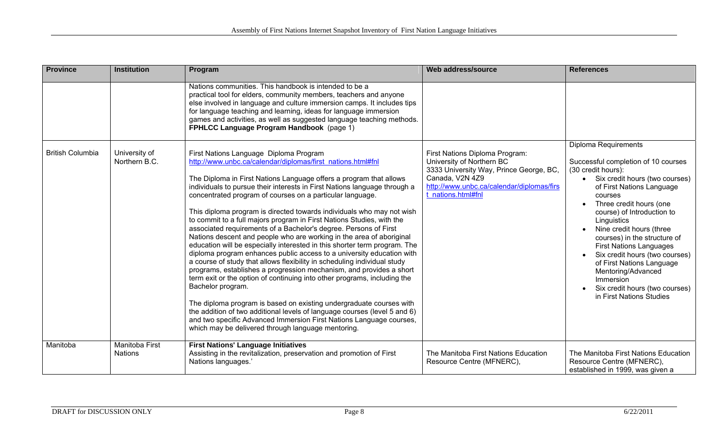| <b>Province</b>         | <b>Institution</b>               | Program                                                                                                                                                                                                                                                                                                                                                                                                                                                                                                                                                                                                                                                                                                                                                                                                                                                                                                                                                                                                                                                                                                                                                                                                                                                                                                        | Web address/source                                                                                                                                                                           | <b>References</b>                                                                                                                                                                                                                                                                                                                                                                                                                                                                                   |
|-------------------------|----------------------------------|----------------------------------------------------------------------------------------------------------------------------------------------------------------------------------------------------------------------------------------------------------------------------------------------------------------------------------------------------------------------------------------------------------------------------------------------------------------------------------------------------------------------------------------------------------------------------------------------------------------------------------------------------------------------------------------------------------------------------------------------------------------------------------------------------------------------------------------------------------------------------------------------------------------------------------------------------------------------------------------------------------------------------------------------------------------------------------------------------------------------------------------------------------------------------------------------------------------------------------------------------------------------------------------------------------------|----------------------------------------------------------------------------------------------------------------------------------------------------------------------------------------------|-----------------------------------------------------------------------------------------------------------------------------------------------------------------------------------------------------------------------------------------------------------------------------------------------------------------------------------------------------------------------------------------------------------------------------------------------------------------------------------------------------|
|                         |                                  | Nations communities. This handbook is intended to be a<br>practical tool for elders, community members, teachers and anyone<br>else involved in language and culture immersion camps. It includes tips<br>for language teaching and learning, ideas for language immersion<br>games and activities, as well as suggested language teaching methods.<br>FPHLCC Language Program Handbook (page 1)                                                                                                                                                                                                                                                                                                                                                                                                                                                                                                                                                                                                                                                                                                                                                                                                                                                                                                               |                                                                                                                                                                                              |                                                                                                                                                                                                                                                                                                                                                                                                                                                                                                     |
| <b>British Columbia</b> | University of<br>Northern B.C.   | First Nations Language Diploma Program<br>http://www.unbc.ca/calendar/diplomas/first nations.html#fnl<br>The Diploma in First Nations Language offers a program that allows<br>individuals to pursue their interests in First Nations language through a<br>concentrated program of courses on a particular language.<br>This diploma program is directed towards individuals who may not wish<br>to commit to a full majors program in First Nations Studies, with the<br>associated requirements of a Bachelor's degree. Persons of First<br>Nations descent and people who are working in the area of aboriginal<br>education will be especially interested in this shorter term program. The<br>diploma program enhances public access to a university education with<br>a course of study that allows flexibility in scheduling individual study<br>programs, establishes a progression mechanism, and provides a short<br>term exit or the option of continuing into other programs, including the<br>Bachelor program.<br>The diploma program is based on existing undergraduate courses with<br>the addition of two additional levels of language courses (level 5 and 6)<br>and two specific Advanced Immersion First Nations Language courses,<br>which may be delivered through language mentoring. | First Nations Diploma Program:<br>University of Northern BC<br>3333 University Way, Prince George, BC,<br>Canada, V2N 4Z9<br>http://www.unbc.ca/calendar/diplomas/firs<br>t nations.html#fnl | Diploma Requirements<br>Successful completion of 10 courses<br>(30 credit hours):<br>• Six credit hours (two courses)<br>of First Nations Language<br>courses<br>Three credit hours (one<br>course) of Introduction to<br>Linguistics<br>Nine credit hours (three<br>courses) in the structure of<br><b>First Nations Languages</b><br>Six credit hours (two courses)<br>of First Nations Language<br>Mentoring/Advanced<br>Immersion<br>Six credit hours (two courses)<br>in First Nations Studies |
| Manitoba                | Manitoba First<br><b>Nations</b> | <b>First Nations' Language Initiatives</b><br>Assisting in the revitalization, preservation and promotion of First<br>Nations languages.'                                                                                                                                                                                                                                                                                                                                                                                                                                                                                                                                                                                                                                                                                                                                                                                                                                                                                                                                                                                                                                                                                                                                                                      | The Manitoba First Nations Education<br>Resource Centre (MFNERC),                                                                                                                            | The Manitoba First Nations Education<br>Resource Centre (MFNERC),<br>established in 1999, was given a                                                                                                                                                                                                                                                                                                                                                                                               |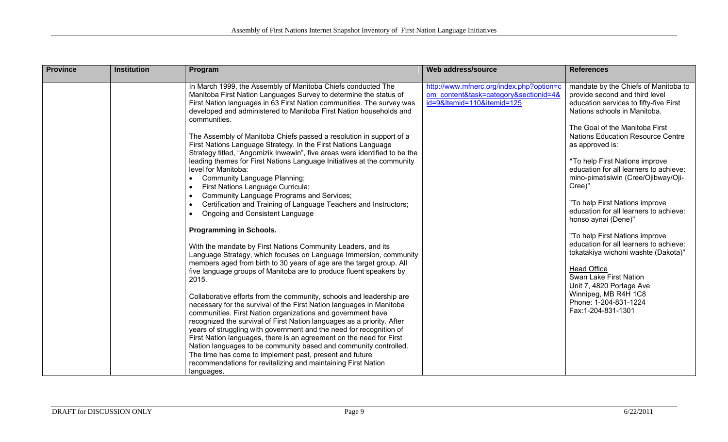| <b>Province</b> | <b>Institution</b> | Program                                                                                                                                                                                                                                                                                                                                                      | <b>Web address/source</b>                                                                                       | <b>References</b>                                                                                                                                                                  |
|-----------------|--------------------|--------------------------------------------------------------------------------------------------------------------------------------------------------------------------------------------------------------------------------------------------------------------------------------------------------------------------------------------------------------|-----------------------------------------------------------------------------------------------------------------|------------------------------------------------------------------------------------------------------------------------------------------------------------------------------------|
|                 |                    | In March 1999, the Assembly of Manitoba Chiefs conducted The<br>Manitoba First Nation Languages Survey to determine the status of<br>First Nation languages in 63 First Nation communities. The survey was<br>developed and administered to Manitoba First Nation households and<br>communities.                                                             | http://www.mfnerc.org/index.php?option=c<br>om content&task=category&sectionid=4&<br>id=9&Itemid=110&Itemid=125 | mandate by the Chiefs of Manitoba to<br>provide second and third level<br>education services to fifty-five First<br>Nations schools in Manitoba.<br>The Goal of the Manitoba First |
|                 |                    | The Assembly of Manitoba Chiefs passed a resolution in support of a<br>First Nations Language Strategy. In the First Nations Language                                                                                                                                                                                                                        |                                                                                                                 | <b>Nations Education Resource Centre</b><br>as approved is:                                                                                                                        |
|                 |                    | Strategy titled, "Angomizik Inwewin", five areas were identified to be the<br>leading themes for First Nations Language Initiatives at the community<br>level for Manitoba:<br><b>Community Language Planning;</b><br>First Nations Language Curricula;                                                                                                      |                                                                                                                 | "To help First Nations improve<br>education for all learners to achieve:<br>mino-pimatisiwin (Cree/Ojibway/Oji-<br>Cree)"                                                          |
|                 |                    | Community Language Programs and Services;<br>Certification and Training of Language Teachers and Instructors;<br>Ongoing and Consistent Language                                                                                                                                                                                                             |                                                                                                                 | "To help First Nations improve<br>education for all learners to achieve:<br>honso aynai (Dene)"                                                                                    |
|                 |                    | <b>Programming in Schools.</b><br>With the mandate by First Nations Community Leaders, and its<br>Language Strategy, which focuses on Language Immersion, community<br>members aged from birth to 30 years of age are the target group. All                                                                                                                  |                                                                                                                 | "To help First Nations improve<br>education for all learners to achieve:<br>tokatakiya wichoni washte (Dakota)"<br><b>Head Office</b>                                              |
|                 |                    | five language groups of Manitoba are to produce fluent speakers by<br>2015.                                                                                                                                                                                                                                                                                  |                                                                                                                 | Swan Lake First Nation<br>Unit 7, 4820 Portage Ave                                                                                                                                 |
|                 |                    | Collaborative efforts from the community, schools and leadership are<br>necessary for the survival of the First Nation languages in Manitoba<br>communities. First Nation organizations and government have<br>recognized the survival of First Nation languages as a priority. After<br>years of struggling with government and the need for recognition of |                                                                                                                 | Winnipeg, MB R4H 1C8<br>Phone: 1-204-831-1224<br>Fax:1-204-831-1301                                                                                                                |
|                 |                    | First Nation languages, there is an agreement on the need for First<br>Nation languages to be community based and community controlled.<br>The time has come to implement past, present and future<br>recommendations for revitalizing and maintaining First Nation<br>languages.                                                                            |                                                                                                                 |                                                                                                                                                                                    |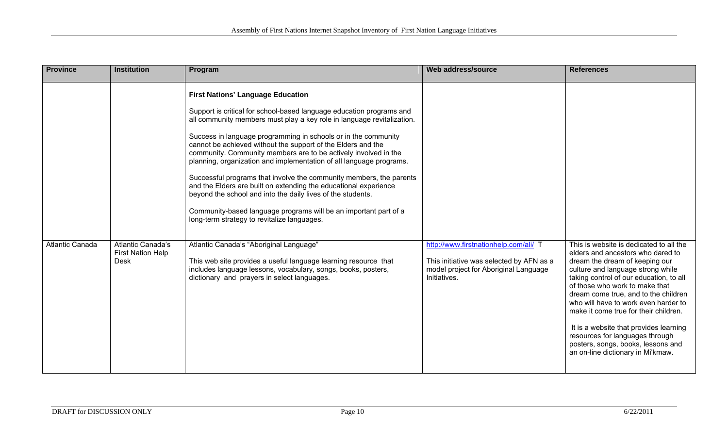| <b>Province</b>        | <b>Institution</b>                                           | Program                                                                                                                                                                                                                                                                                                                                                                                                                                                                                                                                                                                                                                                                                                                                                                                             | Web address/source                                                                                                                         | <b>References</b>                                                                                                                                                                                                                                                                                                                                                                                                                                                                                                 |
|------------------------|--------------------------------------------------------------|-----------------------------------------------------------------------------------------------------------------------------------------------------------------------------------------------------------------------------------------------------------------------------------------------------------------------------------------------------------------------------------------------------------------------------------------------------------------------------------------------------------------------------------------------------------------------------------------------------------------------------------------------------------------------------------------------------------------------------------------------------------------------------------------------------|--------------------------------------------------------------------------------------------------------------------------------------------|-------------------------------------------------------------------------------------------------------------------------------------------------------------------------------------------------------------------------------------------------------------------------------------------------------------------------------------------------------------------------------------------------------------------------------------------------------------------------------------------------------------------|
|                        |                                                              | <b>First Nations' Language Education</b><br>Support is critical for school-based language education programs and<br>all community members must play a key role in language revitalization.<br>Success in language programming in schools or in the community<br>cannot be achieved without the support of the Elders and the<br>community. Community members are to be actively involved in the<br>planning, organization and implementation of all language programs.<br>Successful programs that involve the community members, the parents<br>and the Elders are built on extending the educational experience<br>beyond the school and into the daily lives of the students.<br>Community-based language programs will be an important part of a<br>long-term strategy to revitalize languages. |                                                                                                                                            |                                                                                                                                                                                                                                                                                                                                                                                                                                                                                                                   |
| <b>Atlantic Canada</b> | Atlantic Canada's<br><b>First Nation Help</b><br><b>Desk</b> | Atlantic Canada's "Aboriginal Language"<br>This web site provides a useful language learning resource that<br>includes language lessons, vocabulary, songs, books, posters,<br>dictionary and prayers in select languages.                                                                                                                                                                                                                                                                                                                                                                                                                                                                                                                                                                          | http://www.firstnationhelp.com/ali/ 1<br>This initiative was selected by AFN as a<br>model project for Aboriginal Language<br>Initiatives. | This is website is dedicated to all the<br>elders and ancestors who dared to<br>dream the dream of keeping our<br>culture and language strong while<br>taking control of our education, to all<br>of those who work to make that<br>dream come true, and to the children<br>who will have to work even harder to<br>make it come true for their children.<br>It is a website that provides learning<br>resources for languages through<br>posters, songs, books, lessons and<br>an on-line dictionary in Mi'kmaw. |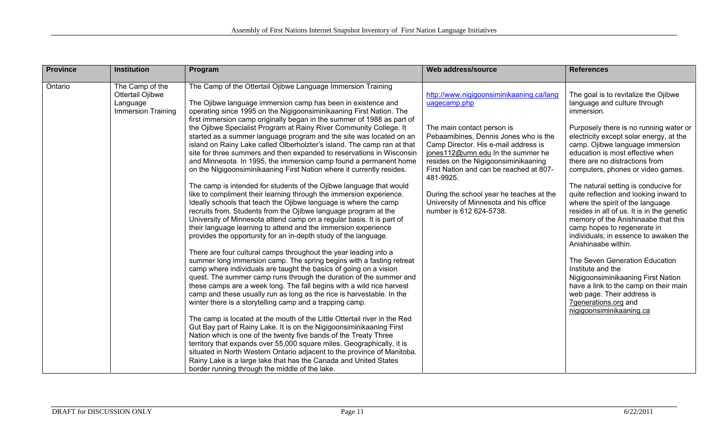| <b>Province</b> | <b>Institution</b>                                                    | Program                                                                                                                                                                                                                                                                                                                                                                                                                                                                                           | Web address/source                                                                                                                                                                                                                               | <b>References</b>                                                                                                                                                                                                                                                                                      |
|-----------------|-----------------------------------------------------------------------|---------------------------------------------------------------------------------------------------------------------------------------------------------------------------------------------------------------------------------------------------------------------------------------------------------------------------------------------------------------------------------------------------------------------------------------------------------------------------------------------------|--------------------------------------------------------------------------------------------------------------------------------------------------------------------------------------------------------------------------------------------------|--------------------------------------------------------------------------------------------------------------------------------------------------------------------------------------------------------------------------------------------------------------------------------------------------------|
| Ontario         | The Camp of the<br>Ottertail Ojibwe<br>Language<br>Immersion Training | The Camp of the Ottertail Ojibwe Language Immersion Training<br>The Ojibwe language immersion camp has been in existence and<br>operating since 1995 on the Nigigoonsiminikaaning First Nation. The<br>first immersion camp originally began in the summer of 1988 as part of                                                                                                                                                                                                                     | http://www.nigigoonsiminikaaning.ca/lang<br>uagecamp.php                                                                                                                                                                                         | The goal is to revitalize the Ojibwe<br>language and culture through<br>immersion.                                                                                                                                                                                                                     |
|                 |                                                                       | the Ojibwe Specialist Program at Rainy River Community College. It<br>started as a summer language program and the site was located on an<br>island on Rainy Lake called Olberholzter's island. The camp ran at that<br>site for three summers and then expanded to reservations in Wisconsin<br>and Minnesota. In 1995, the immersion camp found a permanent home<br>on the Nigigoonsiminikaaning First Nation where it currently resides.                                                       | The main contact person is<br>Pebaamibines, Dennis Jones who is the<br>Camp Director. His e-mail address is<br>jones112@umn.edu In the summer he<br>resides on the Nigigoonsiminikaaning<br>First Nation and can be reached at 807-<br>481-9925. | Purposely there is no running water or<br>electricity except solar energy, at the<br>camp. Ojibwe language immersion<br>education is most effective when<br>there are no distractions from<br>computers, phones or video games.                                                                        |
|                 |                                                                       | The camp is intended for students of the Ojibwe language that would<br>like to compliment their learning through the immersion experience.<br>Ideally schools that teach the Ojibwe language is where the camp<br>recruits from. Students from the Ojibwe language program at the<br>University of Minnesota attend camp on a regular basis. It is part of<br>their language learning to attend and the immersion experience<br>provides the opportunity for an in-depth study of the language.   | During the school year he teaches at the<br>University of Minnesota and his office<br>number is 612 624-5738.                                                                                                                                    | The natural setting is conducive for<br>quite reflection and looking inward to<br>where the spirit of the language<br>resides in all of us. It is in the genetic<br>memory of the Anishinaabe that this<br>camp hopes to regenerate in<br>individuals; in essence to awaken the<br>Anishinaabe within. |
|                 |                                                                       | There are four cultural camps throughout the year leading into a<br>summer long immersion camp. The spring begins with a fasting retreat<br>camp where individuals are taught the basics of going on a vision<br>quest. The summer camp runs through the duration of the summer and<br>these camps are a week long. The fall begins with a wild rice harvest<br>camp and these usually run as long as the rice is harvestable. In the<br>winter there is a storytelling camp and a trapping camp. |                                                                                                                                                                                                                                                  | The Seven Generation Education<br>Institute and the<br>Nigigoonsiminikaaning First Nation<br>have a link to the camp on their main<br>web page. Their address is<br>7generations.org and<br>nigigoonsiminikaaning.ca                                                                                   |
|                 |                                                                       | The camp is located at the mouth of the Little Ottertail river in the Red<br>Gut Bay part of Rainy Lake. It is on the Nigigoonsiminikaaning First<br>Nation which is one of the twenty five bands of the Treaty Three<br>territory that expands over 55,000 square miles. Geographically, it is<br>situated in North Western Ontario adjacent to the province of Manitoba.<br>Rainy Lake is a large lake that has the Canada and United States<br>border running through the middle of the lake.  |                                                                                                                                                                                                                                                  |                                                                                                                                                                                                                                                                                                        |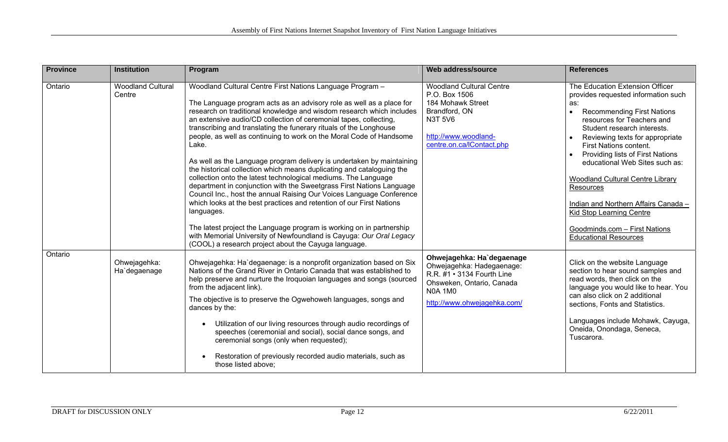| <b>Province</b> | <b>Institution</b>                 | Program                                                                                                                                                                                                                                                                                                                                                                                                                                                                                                                                                                                                                                                                                                                                                                                                                                                                                                                                                                | Web address/source                                                                                                                                                 | <b>References</b>                                                                                                                                                                                                                                                                                                                                                                                                                                                                     |
|-----------------|------------------------------------|------------------------------------------------------------------------------------------------------------------------------------------------------------------------------------------------------------------------------------------------------------------------------------------------------------------------------------------------------------------------------------------------------------------------------------------------------------------------------------------------------------------------------------------------------------------------------------------------------------------------------------------------------------------------------------------------------------------------------------------------------------------------------------------------------------------------------------------------------------------------------------------------------------------------------------------------------------------------|--------------------------------------------------------------------------------------------------------------------------------------------------------------------|---------------------------------------------------------------------------------------------------------------------------------------------------------------------------------------------------------------------------------------------------------------------------------------------------------------------------------------------------------------------------------------------------------------------------------------------------------------------------------------|
| Ontario         | <b>Woodland Cultural</b><br>Centre | Woodland Cultural Centre First Nations Language Program -<br>The Language program acts as an advisory role as well as a place for<br>research on traditional knowledge and wisdom research which includes<br>an extensive audio/CD collection of ceremonial tapes, collecting,<br>transcribing and translating the funerary rituals of the Longhouse<br>people, as well as continuing to work on the Moral Code of Handsome<br>Lake.<br>As well as the Language program delivery is undertaken by maintaining<br>the historical collection which means duplicating and cataloguing the<br>collection onto the latest technological mediums. The Language<br>department in conjunction with the Sweetgrass First Nations Language<br>Council Inc., host the annual Raising Our Voices Language Conference<br>which looks at the best practices and retention of our First Nations<br>languages.<br>The latest project the Language program is working on in partnership | <b>Woodland Cultural Centre</b><br>P.O. Box 1506<br>184 Mohawk Street<br>Brandford, ON<br><b>N3T 5V6</b><br>http://www.woodland-<br>centre.on.ca/IContact.php      | The Education Extension Officer<br>provides requested information such<br>as:<br><b>Recommending First Nations</b><br>$\bullet$<br>resources for Teachers and<br>Student research interests.<br>Reviewing texts for appropriate<br>First Nations content.<br>Providing lists of First Nations<br>educational Web Sites such as:<br>Woodland Cultural Centre Library<br>Resources<br>Indian and Northern Affairs Canada -<br>Kid Stop Learning Centre<br>Goodminds.com - First Nations |
|                 |                                    | with Memorial University of Newfoundland is Cayuga: Our Oral Legacy<br>(COOL) a research project about the Cayuga language.                                                                                                                                                                                                                                                                                                                                                                                                                                                                                                                                                                                                                                                                                                                                                                                                                                            |                                                                                                                                                                    | <b>Educational Resources</b>                                                                                                                                                                                                                                                                                                                                                                                                                                                          |
| Ontario         | Ohwejagehka:<br>Ha'degaenage       | Ohwejagehka: Ha`degaenage: is a nonprofit organization based on Six<br>Nations of the Grand River in Ontario Canada that was established to<br>help preserve and nurture the Iroquoian languages and songs (sourced<br>from the adjacent link).<br>The objective is to preserve the Ogwehoweh languages, songs and<br>dances by the:<br>Utilization of our living resources through audio recordings of<br>$\bullet$<br>speeches (ceremonial and social), social dance songs, and<br>ceremonial songs (only when requested);<br>Restoration of previously recorded audio materials, such as<br>$\bullet$<br>those listed above:                                                                                                                                                                                                                                                                                                                                        | Ohwejagehka: Ha'degaenage<br>Ohwejagehka: Hadegaenage:<br>R.R. #1 • 3134 Fourth Line<br>Ohsweken, Ontario, Canada<br><b>N0A 1M0</b><br>http://www.ohwejagehka.com/ | Click on the website Language<br>section to hear sound samples and<br>read words, then click on the<br>language you would like to hear. You<br>can also click on 2 additional<br>sections, Fonts and Statistics.<br>Languages include Mohawk, Cayuga,<br>Oneida, Onondaga, Seneca,<br>Tuscarora.                                                                                                                                                                                      |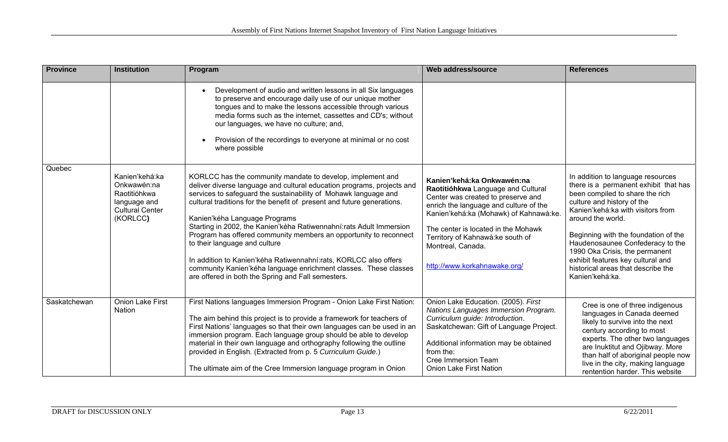| <b>Province</b> | <b>Institution</b>                                                         | Program                                                                                                                                                                                                                                                                                                                                                                                                                                                                                                                                                                                                                         | Web address/source                                                                                                                                                                                                                                                                            | <b>References</b>                                                                                                                                                                                                                                                                                                                                                            |
|-----------------|----------------------------------------------------------------------------|---------------------------------------------------------------------------------------------------------------------------------------------------------------------------------------------------------------------------------------------------------------------------------------------------------------------------------------------------------------------------------------------------------------------------------------------------------------------------------------------------------------------------------------------------------------------------------------------------------------------------------|-----------------------------------------------------------------------------------------------------------------------------------------------------------------------------------------------------------------------------------------------------------------------------------------------|------------------------------------------------------------------------------------------------------------------------------------------------------------------------------------------------------------------------------------------------------------------------------------------------------------------------------------------------------------------------------|
|                 |                                                                            | Development of audio and written lessons in all Six languages<br>$\bullet$<br>to preserve and encourage daily use of our unique mother<br>tongues and to make the lessons accessible through various<br>media forms such as the internet, cassettes and CD's; without<br>our languages, we have no culture; and,<br>Provision of the recordings to everyone at minimal or no cost<br>$\bullet$<br>where possible                                                                                                                                                                                                                |                                                                                                                                                                                                                                                                                               |                                                                                                                                                                                                                                                                                                                                                                              |
| Quebec          | Kanien'kehá:ka                                                             | KORLCC has the community mandate to develop, implement and                                                                                                                                                                                                                                                                                                                                                                                                                                                                                                                                                                      | Kanien'kehá:ka Onkwawén:na                                                                                                                                                                                                                                                                    | In addition to language resources                                                                                                                                                                                                                                                                                                                                            |
|                 | Onkwawén:na<br>Raotitióhkwa<br>language and<br>Cultural Center<br>(KORLCC) | deliver diverse language and cultural education programs, projects and<br>services to safeguard the sustainability of Mohawk language and<br>cultural traditions for the benefit of present and future generations.<br>Kanien'kéha Language Programs<br>Starting in 2002, the Kanien'kéha Ratiwennahní:rats Adult Immersion<br>Program has offered community members an opportunity to reconnect<br>to their language and culture<br>In addition to Kanien'kéha Ratiwennahní:rats, KORLCC also offers<br>community Kanien'kéha language enrichment classes. These classes<br>are offered in both the Spring and Fall semesters. | Raotitióhkwa Language and Cultural<br>Center was created to preserve and<br>enrich the language and culture of the<br>Kanien'kehá:ka (Mohawk) of Kahnawà:ke.<br>The center is located in the Mohawk<br>Territory of Kahnawà: ke south of<br>Montreal, Canada.<br>http://www.korkahnawake.org/ | there is a permanent exhibit that has<br>been compiled to share the rich<br>culture and history of the<br>Kanien'kehá:ka with visitors from<br>around the world.<br>Beginning with the foundation of the<br>Haudenosaunee Confederacy to the<br>1990 Oka Crisis, the permanent<br>exhibit features key cultural and<br>historical areas that describe the<br>Kanien'kehá:ka. |
| Saskatchewan    | <b>Onion Lake First</b><br>Nation                                          | First Nations languages Immersion Program - Onion Lake First Nation:<br>The aim behind this project is to provide a framework for teachers of<br>First Nations' languages so that their own languages can be used in an<br>immersion program. Each language group should be able to develop<br>material in their own language and orthography following the outline<br>provided in English. (Extracted from p. 5 Curriculum Guide.)<br>The ultimate aim of the Cree Immersion language program in Onion                                                                                                                         | Onion Lake Education. (2005). First<br>Nations Languages Immersion Program.<br>Curriculum guide: Introduction.<br>Saskatchewan: Gift of Language Project.<br>Additional information may be obtained<br>from the:<br><b>Cree Immersion Team</b><br><b>Onion Lake First Nation</b>              | Cree is one of three indigenous<br>languages in Canada deemed<br>likely to survive into the next<br>century according to most<br>experts. The other two languages<br>are Inuktitut and Ojibway. More<br>than half of aboriginal people now<br>live in the city, making language<br>rentention harder. This website                                                           |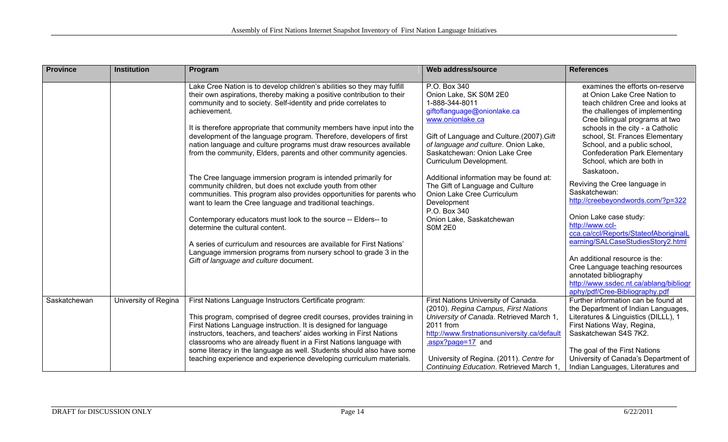| <b>Province</b> | <b>Institution</b>   | Program                                                                                                                                                                                                                                                                                                                                                                                                                                                                                                                                                                                                                                                                                                                                                                                                                                                                                                                                                                                                                                                                                           | Web address/source                                                                                                                                                                                                                                                                                                                                                                                                                                     | <b>References</b>                                                                                                                                                                                                                                                                                                                                                                                                                                                                                                                                                                                                                                                                                                                                              |
|-----------------|----------------------|---------------------------------------------------------------------------------------------------------------------------------------------------------------------------------------------------------------------------------------------------------------------------------------------------------------------------------------------------------------------------------------------------------------------------------------------------------------------------------------------------------------------------------------------------------------------------------------------------------------------------------------------------------------------------------------------------------------------------------------------------------------------------------------------------------------------------------------------------------------------------------------------------------------------------------------------------------------------------------------------------------------------------------------------------------------------------------------------------|--------------------------------------------------------------------------------------------------------------------------------------------------------------------------------------------------------------------------------------------------------------------------------------------------------------------------------------------------------------------------------------------------------------------------------------------------------|----------------------------------------------------------------------------------------------------------------------------------------------------------------------------------------------------------------------------------------------------------------------------------------------------------------------------------------------------------------------------------------------------------------------------------------------------------------------------------------------------------------------------------------------------------------------------------------------------------------------------------------------------------------------------------------------------------------------------------------------------------------|
|                 |                      | Lake Cree Nation is to develop children's abilities so they may fulfill<br>their own aspirations, thereby making a positive contribution to their<br>community and to society. Self-identity and pride correlates to<br>achievement.<br>It is therefore appropriate that community members have input into the<br>development of the language program. Therefore, developers of first<br>nation language and culture programs must draw resources available<br>from the community, Elders, parents and other community agencies.<br>The Cree language immersion program is intended primarily for<br>community children, but does not exclude youth from other<br>communities. This program also provides opportunities for parents who<br>want to learn the Cree language and traditional teachings.<br>Contemporary educators must look to the source -- Elders-- to<br>determine the cultural content.<br>A series of curriculum and resources are available for First Nations'<br>Language immersion programs from nursery school to grade 3 in the<br>Gift of language and culture document. | P.O. Box 340<br>Onion Lake, SK S0M 2E0<br>1-888-344-8011<br>giftoflanguage@onionlake.ca<br>www.onionlake.ca<br>Gift of Language and Culture.(2007). Gift<br>of language and culture. Onion Lake,<br>Saskatchewan: Onion Lake Cree<br>Curriculum Development.<br>Additional information may be found at:<br>The Gift of Language and Culture<br>Onion Lake Cree Curriculum<br>Development<br>P.O. Box 340<br>Onion Lake, Saskatchewan<br><b>SOM 2E0</b> | examines the efforts on-reserve<br>at Onion Lake Cree Nation to<br>teach children Cree and looks at<br>the challenges of implementing<br>Cree bilingual programs at two<br>schools in the city - a Catholic<br>school, St. Frances Elementary<br>School, and a public school,<br><b>Confederation Park Elementary</b><br>School, which are both in<br>Saskatoon.<br>Reviving the Cree language in<br>Saskatchewan:<br>http://creebeyondwords.com/?p=322<br>Onion Lake case study:<br>http://www.ccl-<br>cca.ca/ccl/Reports/StateofAboriginalL<br>earning/SALCaseStudiesStory2.html<br>An additional resource is the:<br>Cree Language teaching resources<br>annotated bibliography<br>http://www.ssdec.nt.ca/ablang/bibliogr<br>aphy/pdf/Cree-Bibliography.pdf |
| Saskatchewan    | University of Regina | First Nations Language Instructors Certificate program:<br>This program, comprised of degree credit courses, provides training in<br>First Nations Language instruction. It is designed for language<br>instructors, teachers, and teachers' aides working in First Nations<br>classrooms who are already fluent in a First Nations language with<br>some literacy in the language as well. Students should also have some<br>teaching experience and experience developing curriculum materials.                                                                                                                                                                                                                                                                                                                                                                                                                                                                                                                                                                                                 | First Nations University of Canada.<br>(2010). Regina Campus, First Nations<br>University of Canada. Retrieved March 1<br>2011 from<br>http://www.firstnationsuniversity.ca/default<br>.aspx?page=17 and<br>University of Regina. (2011). Centre for<br>Continuing Education. Retrieved March 1                                                                                                                                                        | Further information can be found at<br>the Department of Indian Languages,<br>Literatures & Linguistics (DILLL), 1<br>First Nations Way, Regina,<br>Saskatchewan S4S 7K2.<br>The goal of the First Nations<br>University of Canada's Department of<br>Indian Languages, Literatures and                                                                                                                                                                                                                                                                                                                                                                                                                                                                        |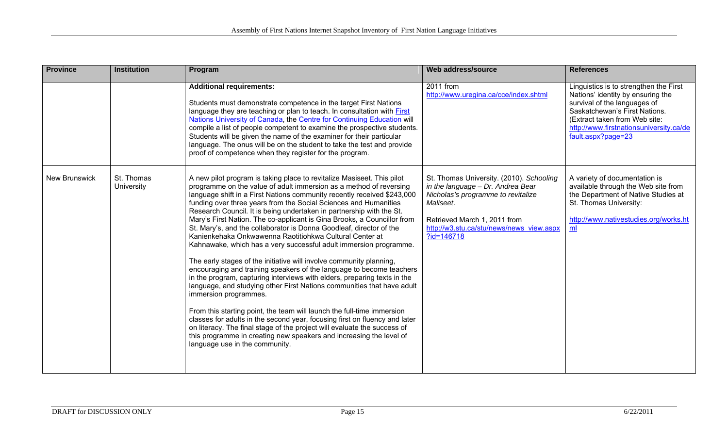| <b>Province</b>      | <b>Institution</b>                                                                                                                                                                                                                                                                                                                                                                                                                                                                                                                                                                                                                                                                                                                                                                                                                                                                                                                                                                                                                                                                                                                                                                                                                                                                                                                                           | Program                                                                                                                                                                                                                                                                                                                                                                                                                                                                                                                                                 | Web address/source                                                                                                                                                                                                             | <b>References</b>                                                                                                                                                                                                                              |
|----------------------|--------------------------------------------------------------------------------------------------------------------------------------------------------------------------------------------------------------------------------------------------------------------------------------------------------------------------------------------------------------------------------------------------------------------------------------------------------------------------------------------------------------------------------------------------------------------------------------------------------------------------------------------------------------------------------------------------------------------------------------------------------------------------------------------------------------------------------------------------------------------------------------------------------------------------------------------------------------------------------------------------------------------------------------------------------------------------------------------------------------------------------------------------------------------------------------------------------------------------------------------------------------------------------------------------------------------------------------------------------------|---------------------------------------------------------------------------------------------------------------------------------------------------------------------------------------------------------------------------------------------------------------------------------------------------------------------------------------------------------------------------------------------------------------------------------------------------------------------------------------------------------------------------------------------------------|--------------------------------------------------------------------------------------------------------------------------------------------------------------------------------------------------------------------------------|------------------------------------------------------------------------------------------------------------------------------------------------------------------------------------------------------------------------------------------------|
|                      |                                                                                                                                                                                                                                                                                                                                                                                                                                                                                                                                                                                                                                                                                                                                                                                                                                                                                                                                                                                                                                                                                                                                                                                                                                                                                                                                                              | <b>Additional requirements:</b><br>Students must demonstrate competence in the target First Nations<br>language they are teaching or plan to teach. In consultation with <b>First</b><br>Nations University of Canada, the Centre for Continuing Education will<br>compile a list of people competent to examine the prospective students.<br>Students will be given the name of the examiner for their particular<br>language. The onus will be on the student to take the test and provide<br>proof of competence when they register for the program. | 2011 from<br>http://www.uregina.ca/cce/index.shtml                                                                                                                                                                             | Linguistics is to strengthen the First<br>Nations' identity by ensuring the<br>survival of the languages of<br>Saskatchewan's First Nations.<br>(Extract taken from Web site:<br>http://www.firstnationsuniversity.ca/de<br>fault.aspx?page=23 |
| <b>New Brunswick</b> | St. Thomas<br>A new pilot program is taking place to revitalize Masiseet. This pilot<br>University<br>programme on the value of adult immersion as a method of reversing<br>language shift in a First Nations community recently received \$243,000<br>funding over three years from the Social Sciences and Humanities<br>Research Council. It is being undertaken in partnership with the St.<br>Mary's First Nation. The co-applicant is Gina Brooks, a Councillor from<br>St. Mary's, and the collaborator is Donna Goodleaf, director of the<br>Kanienkehaka Onkwawenna Raotitiohkwa Cultural Center at<br>Kahnawake, which has a very successful adult immersion programme.<br>The early stages of the initiative will involve community planning,<br>encouraging and training speakers of the language to become teachers<br>in the program, capturing interviews with elders, preparing texts in the<br>language, and studying other First Nations communities that have adult<br>immersion programmes.<br>From this starting point, the team will launch the full-time immersion<br>classes for adults in the second year, focusing first on fluency and later<br>on literacy. The final stage of the project will evaluate the success of<br>this programme in creating new speakers and increasing the level of<br>language use in the community. |                                                                                                                                                                                                                                                                                                                                                                                                                                                                                                                                                         | St. Thomas University. (2010). Schooling<br>in the language - Dr. Andrea Bear<br>Nicholas's programme to revitalize<br>Maliseet.<br>Retrieved March 1, 2011 from<br>http://w3.stu.ca/stu/news/news view.aspx<br>$?id = 146718$ | A variety of documentation is<br>available through the Web site from<br>the Department of Native Studies at<br>St. Thomas University:<br>http://www.nativestudies.org/works.ht<br>ml                                                           |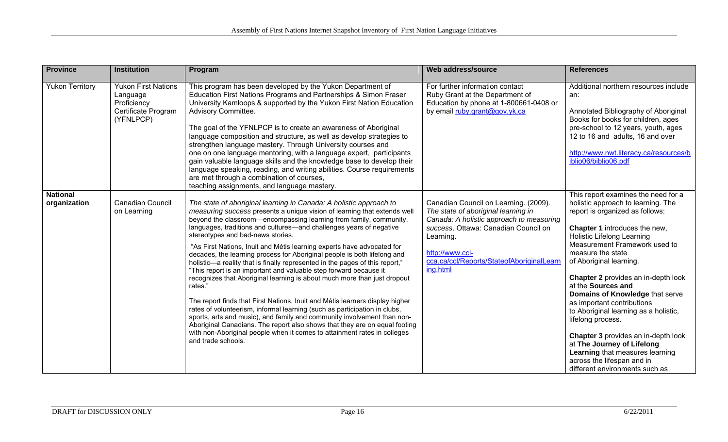| <b>Province</b>                 | <b>Institution</b>                                                                        | Program                                                                                                                                                                                                                                                                                                                                                                                                                                                                                                                                                                                                                                                                                                                                                                                                                                                                                                                                                                                                                                                                                                                                                    | Web address/source                                                                                                                                                                                                                                        | <b>References</b>                                                                                                                                                                                                                                                                                                                                                                                                                                                                                                                                                                                                                                     |
|---------------------------------|-------------------------------------------------------------------------------------------|------------------------------------------------------------------------------------------------------------------------------------------------------------------------------------------------------------------------------------------------------------------------------------------------------------------------------------------------------------------------------------------------------------------------------------------------------------------------------------------------------------------------------------------------------------------------------------------------------------------------------------------------------------------------------------------------------------------------------------------------------------------------------------------------------------------------------------------------------------------------------------------------------------------------------------------------------------------------------------------------------------------------------------------------------------------------------------------------------------------------------------------------------------|-----------------------------------------------------------------------------------------------------------------------------------------------------------------------------------------------------------------------------------------------------------|-------------------------------------------------------------------------------------------------------------------------------------------------------------------------------------------------------------------------------------------------------------------------------------------------------------------------------------------------------------------------------------------------------------------------------------------------------------------------------------------------------------------------------------------------------------------------------------------------------------------------------------------------------|
| <b>Yukon Territory</b>          | <b>Yukon First Nations</b><br>Language<br>Proficiency<br>Certificate Program<br>(YFNLPCP) | This program has been developed by the Yukon Department of<br>Education First Nations Programs and Partnerships & Simon Fraser<br>University Kamloops & supported by the Yukon First Nation Education<br>Advisory Committee.<br>The goal of the YFNLPCP is to create an awareness of Aboriginal<br>language composition and structure, as well as develop strategies to<br>strengthen language mastery. Through University courses and<br>one on one language mentoring, with a language expert, participants<br>gain valuable language skills and the knowledge base to develop their<br>language speaking, reading, and writing abilities. Course requirements<br>are met through a combination of courses,<br>teaching assignments, and language mastery.                                                                                                                                                                                                                                                                                                                                                                                               | For further information contact<br>Ruby Grant at the Department of<br>Education by phone at 1-800661-0408 or<br>by email ruby.grant@gov.yk.ca                                                                                                             | Additional northern resources include<br>an:<br>Annotated Bibliography of Aboriginal<br>Books for books for children, ages<br>pre-school to 12 years, youth, ages<br>12 to 16 and adults, 16 and over<br>http://www.nwt.literacy.ca/resources/b<br>iblio06/biblio06.pdf                                                                                                                                                                                                                                                                                                                                                                               |
| <b>National</b><br>organization | <b>Canadian Council</b><br>on Learning                                                    | The state of aboriginal learning in Canada: A holistic approach to<br>measuring success presents a unique vision of learning that extends well<br>beyond the classroom-encompassing learning from family, community,<br>languages, traditions and cultures—and challenges years of negative<br>stereotypes and bad-news stories.<br>"As First Nations, Inuit and Métis learning experts have advocated for<br>decades, the learning process for Aboriginal people is both lifelong and<br>holistic-a reality that is finally represented in the pages of this report,"<br>"This report is an important and valuable step forward because it<br>recognizes that Aboriginal learning is about much more than just dropout<br>rates."<br>The report finds that First Nations, Inuit and Métis learners display higher<br>rates of volunteerism, informal learning (such as participation in clubs,<br>sports, arts and music), and family and community involvement than non-<br>Aboriginal Canadians. The report also shows that they are on equal footing<br>with non-Aboriginal people when it comes to attainment rates in colleges<br>and trade schools. | Canadian Council on Learning. (2009).<br>The state of aboriginal learning in<br>Canada: A holistic approach to measuring<br>success. Ottawa: Canadian Council on<br>Learning.<br>http://www.ccl-<br>cca.ca/ccl/Reports/StateofAboriginalLearn<br>ing.html | This report examines the need for a<br>holistic approach to learning. The<br>report is organized as follows:<br>Chapter 1 introduces the new,<br><b>Holistic Lifelong Learning</b><br>Measurement Framework used to<br>measure the state<br>of Aboriginal learning.<br><b>Chapter 2 provides an in-depth look</b><br>at the <b>Sources and</b><br>Domains of Knowledge that serve<br>as important contributions<br>to Aboriginal learning as a holistic,<br>lifelong process.<br>Chapter 3 provides an in-depth look<br>at The Journey of Lifelong<br>Learning that measures learning<br>across the lifespan and in<br>different environments such as |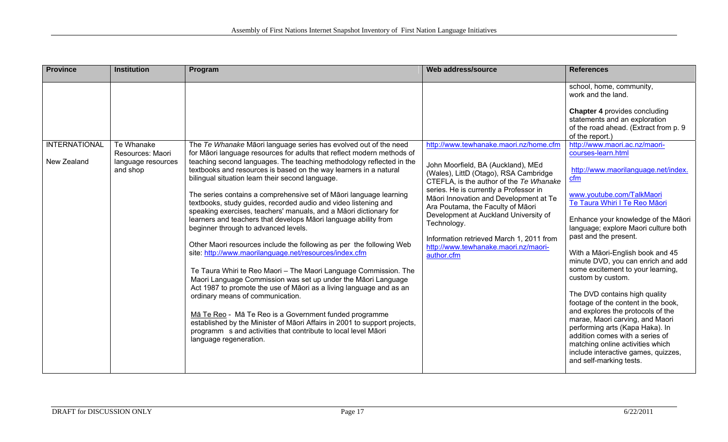| Province                            | <b>Institution</b>                                               | Program                                                                                                                                                                                                                                                                                                                                                                                                                                                                                                                                                                                                                                                                                                                                                                                                                                                                                                                                                                                                                                                                                                                                                                                                                                                                                   | Web address/source                                                                                                                                                                                                                                                                                                                                                                                                                                  | <b>References</b>                                                                                                                                                                                                                                                                                                                                                                                                                                                                                                                                                                                                                                                                                                                                                                                                                                                                                                              |
|-------------------------------------|------------------------------------------------------------------|-------------------------------------------------------------------------------------------------------------------------------------------------------------------------------------------------------------------------------------------------------------------------------------------------------------------------------------------------------------------------------------------------------------------------------------------------------------------------------------------------------------------------------------------------------------------------------------------------------------------------------------------------------------------------------------------------------------------------------------------------------------------------------------------------------------------------------------------------------------------------------------------------------------------------------------------------------------------------------------------------------------------------------------------------------------------------------------------------------------------------------------------------------------------------------------------------------------------------------------------------------------------------------------------|-----------------------------------------------------------------------------------------------------------------------------------------------------------------------------------------------------------------------------------------------------------------------------------------------------------------------------------------------------------------------------------------------------------------------------------------------------|--------------------------------------------------------------------------------------------------------------------------------------------------------------------------------------------------------------------------------------------------------------------------------------------------------------------------------------------------------------------------------------------------------------------------------------------------------------------------------------------------------------------------------------------------------------------------------------------------------------------------------------------------------------------------------------------------------------------------------------------------------------------------------------------------------------------------------------------------------------------------------------------------------------------------------|
| <b>INTERNATIONAL</b><br>New Zealand | Te Whanake<br>Resources: Maori<br>language resources<br>and shop | The Te Whanake Māori language series has evolved out of the need<br>for Māori language resources for adults that reflect modern methods of<br>teaching second languages. The teaching methodology reflected in the<br>textbooks and resources is based on the way learners in a natural<br>bilingual situation learn their second language.<br>The series contains a comprehensive set of Māori language learning<br>textbooks, study guides, recorded audio and video listening and<br>speaking exercises, teachers' manuals, and a Māori dictionary for<br>learners and teachers that develops Māori language ability from<br>beginner through to advanced levels.<br>Other Maori resources include the following as per the following Web<br>site: http://www.maorilanguage.net/resources/index.cfm<br>Te Taura Whiri te Reo Maori - The Maori Language Commission. The<br>Maori Language Commission was set up under the Māori Language<br>Act 1987 to promote the use of Māori as a living language and as an<br>ordinary means of communication.<br>Mā Te Reo - Mā Te Reo is a Government funded programme<br>established by the Minister of Māori Affairs in 2001 to support projects,<br>programm s and activities that contribute to local level Māori<br>language regeneration. | http://www.tewhanake.maori.nz/home.cfm<br>John Moorfield, BA (Auckland), MEd<br>(Wales), LittD (Otago), RSA Cambridge<br>CTEFLA, is the author of the Te Whanake<br>series. He is currently a Professor in<br>Māori Innovation and Development at Te<br>Ara Poutama, the Faculty of Māori<br>Development at Auckland University of<br>Technology.<br>Information retrieved March 1, 2011 from<br>http://www.tewhanake.maori.nz/maori-<br>author.cfm | school, home, community,<br>work and the land.<br><b>Chapter 4 provides concluding</b><br>statements and an exploration<br>of the road ahead. (Extract from p. 9<br>of the report.)<br>http://www.maori.ac.nz/maori-<br>courses-learn.html<br>http://www.maorilanguage.net/index.<br>cfm<br>www.youtube.com/TalkMaori<br>Te Taura Whiri I Te Reo Māori<br>Enhance your knowledge of the Māori<br>language; explore Maori culture both<br>past and the present.<br>With a Māori-English book and 45<br>minute DVD, you can enrich and add<br>some excitement to your learning,<br>custom by custom.<br>The DVD contains high quality<br>footage of the content in the book,<br>and explores the protocols of the<br>marae, Maori carving, and Maori<br>performing arts (Kapa Haka). In<br>addition comes with a series of<br>matching online activities which<br>include interactive games, quizzes,<br>and self-marking tests. |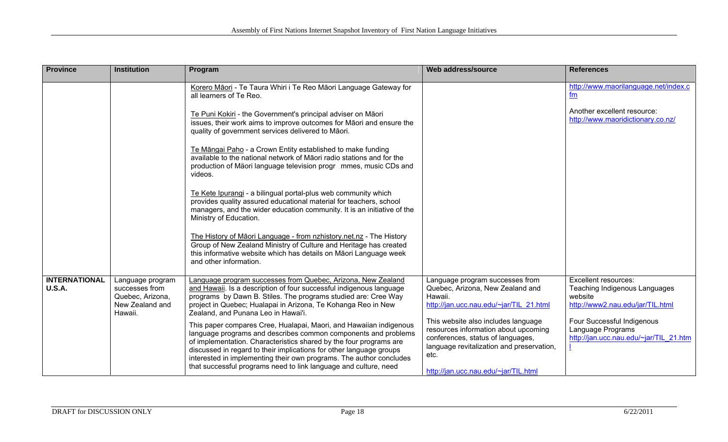| <b>Province</b>                       | <b>Institution</b>                                                                   | Program                                                                                                                                                                                                                                                                                                                                                                                                                      | Web address/source                                                                                                                                                                                            | <b>References</b>                                                                                           |
|---------------------------------------|--------------------------------------------------------------------------------------|------------------------------------------------------------------------------------------------------------------------------------------------------------------------------------------------------------------------------------------------------------------------------------------------------------------------------------------------------------------------------------------------------------------------------|---------------------------------------------------------------------------------------------------------------------------------------------------------------------------------------------------------------|-------------------------------------------------------------------------------------------------------------|
|                                       |                                                                                      | Korero Māori - Te Taura Whiri i Te Reo Māori Language Gateway for<br>all learners of Te Reo.                                                                                                                                                                                                                                                                                                                                 |                                                                                                                                                                                                               | http://www.maorilanguage.net/index.c<br>fm                                                                  |
|                                       |                                                                                      | Te Puni Kokiri - the Government's principal adviser on Māori<br>issues, their work aims to improve outcomes for Māori and ensure the<br>quality of government services delivered to Māori.                                                                                                                                                                                                                                   |                                                                                                                                                                                                               | Another excellent resource:<br>http://www.maoridictionary.co.nz/                                            |
|                                       |                                                                                      | Te Māngai Paho - a Crown Entity established to make funding<br>available to the national network of Māori radio stations and for the<br>production of Mäori language television progr mmes, music CDs and<br>videos.                                                                                                                                                                                                         |                                                                                                                                                                                                               |                                                                                                             |
|                                       |                                                                                      | Te Kete Ipurangi - a bilingual portal-plus web community which<br>provides quality assured educational material for teachers, school<br>managers, and the wider education community. It is an initiative of the<br>Ministry of Education.                                                                                                                                                                                    |                                                                                                                                                                                                               |                                                                                                             |
|                                       |                                                                                      | The History of Māori Language - from nzhistory.net.nz - The History<br>Group of New Zealand Ministry of Culture and Heritage has created<br>this informative website which has details on Māori Language week<br>and other information.                                                                                                                                                                                      |                                                                                                                                                                                                               |                                                                                                             |
| <b>INTERNATIONAL</b><br><b>U.S.A.</b> | Language program<br>successes from<br>Quebec, Arizona,<br>New Zealand and<br>Hawaii. | Language program successes from Quebec, Arizona, New Zealand<br>and Hawaii. Is a description of four successful indigenous language<br>programs by Dawn B. Stiles. The programs studied are: Cree Way<br>project in Quebec; Hualapai in Arizona, Te Kohanga Reo in New<br>Zealand, and Punana Leo in Hawai'i.                                                                                                                | Language program successes from<br>Quebec, Arizona, New Zealand and<br>Hawaii.<br>http://jan.ucc.nau.edu/~jar/TIL 21.html                                                                                     | <b>Excellent resources:</b><br>Teaching Indigenous Languages<br>website<br>http://www2.nau.edu/jar/TIL.html |
|                                       |                                                                                      | This paper compares Cree, Hualapai, Maori, and Hawaiian indigenous<br>language programs and describes common components and problems<br>of implementation. Characteristics shared by the four programs are<br>discussed in regard to their implications for other language groups<br>interested in implementing their own programs. The author concludes<br>that successful programs need to link language and culture, need | This website also includes language<br>resources information about upcoming<br>conferences, status of languages,<br>language revitalization and preservation,<br>etc.<br>http://jan.ucc.nau.edu/~jar/TIL.html | Four Successful Indigenous<br>Language Programs<br>http://jan.ucc.nau.edu/~jar/TIL 21.htm                   |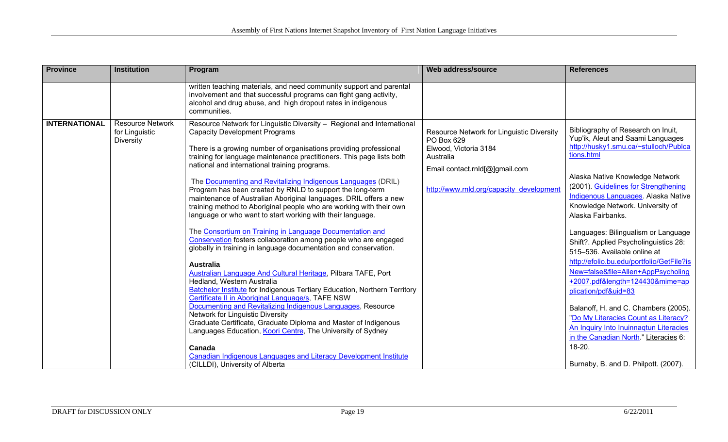| <b>Province</b>      | <b>Institution</b>                                            | Program                                                                                                                                                                                                                                                                                                                                                                                                                                                                                                                                                                                                                                                                                                                                                                                                                                                                                                                                                                                                                                                                                                                                                                                                                                                                                                                                                                                                                                                                          | Web address/source                                                                                                                                                          | <b>References</b>                                                                                                                                                                                                                                                                                                                                                                                                                                                                                                                                                                                                                                                                                                                                                                              |
|----------------------|---------------------------------------------------------------|----------------------------------------------------------------------------------------------------------------------------------------------------------------------------------------------------------------------------------------------------------------------------------------------------------------------------------------------------------------------------------------------------------------------------------------------------------------------------------------------------------------------------------------------------------------------------------------------------------------------------------------------------------------------------------------------------------------------------------------------------------------------------------------------------------------------------------------------------------------------------------------------------------------------------------------------------------------------------------------------------------------------------------------------------------------------------------------------------------------------------------------------------------------------------------------------------------------------------------------------------------------------------------------------------------------------------------------------------------------------------------------------------------------------------------------------------------------------------------|-----------------------------------------------------------------------------------------------------------------------------------------------------------------------------|------------------------------------------------------------------------------------------------------------------------------------------------------------------------------------------------------------------------------------------------------------------------------------------------------------------------------------------------------------------------------------------------------------------------------------------------------------------------------------------------------------------------------------------------------------------------------------------------------------------------------------------------------------------------------------------------------------------------------------------------------------------------------------------------|
|                      |                                                               | written teaching materials, and need community support and parental<br>involvement and that successful programs can fight gang activity,<br>alcohol and drug abuse, and high dropout rates in indigenous<br>communities.                                                                                                                                                                                                                                                                                                                                                                                                                                                                                                                                                                                                                                                                                                                                                                                                                                                                                                                                                                                                                                                                                                                                                                                                                                                         |                                                                                                                                                                             |                                                                                                                                                                                                                                                                                                                                                                                                                                                                                                                                                                                                                                                                                                                                                                                                |
| <b>INTERNATIONAL</b> | <b>Resource Network</b><br>for Linguistic<br><b>Diversity</b> | Resource Network for Linguistic Diversity - Regional and International<br><b>Capacity Development Programs</b><br>There is a growing number of organisations providing professional<br>training for language maintenance practitioners. This page lists both<br>national and international training programs.<br>The Documenting and Revitalizing Indigenous Languages (DRIL)<br>Program has been created by RNLD to support the long-term<br>maintenance of Australian Aboriginal languages. DRIL offers a new<br>training method to Aboriginal people who are working with their own<br>language or who want to start working with their language.<br>The Consortium on Training in Language Documentation and<br>Conservation fosters collaboration among people who are engaged<br>globally in training in language documentation and conservation.<br><b>Australia</b><br>Australian Language And Cultural Heritage, Pilbara TAFE, Port<br>Hedland, Western Australia<br><b>Batchelor Institute for Indigenous Tertiary Education, Northern Territory</b><br>Certificate II in Aboriginal Language/s, TAFE NSW<br>Documenting and Revitalizing Indigenous Languages, Resource<br>Network for Linguistic Diversity<br>Graduate Certificate, Graduate Diploma and Master of Indigenous<br>Languages Education, Koori Centre, The University of Sydney<br>Canada<br><b>Canadian Indigenous Languages and Literacy Development Institute</b><br>(CILLDI), University of Alberta | Resource Network for Linguistic Diversity<br>PO Box 629<br>Elwood, Victoria 3184<br>Australia<br>Email contact.rnld[@]gmail.com<br>http://www.rnld.org/capacity development | Bibliography of Research on Inuit,<br>Yup'ik, Aleut and Saami Languages<br>http://husky1.smu.ca/~stulloch/Publca<br>tions.html<br>Alaska Native Knowledge Network<br>(2001). Guidelines for Strengthening<br>Indigenous Languages. Alaska Native<br>Knowledge Network. University of<br>Alaska Fairbanks.<br>Languages: Bilingualism or Language<br>Shift?. Applied Psycholinguistics 28:<br>515-536. Available online at<br>http://efolio.bu.edu/portfolio/GetFile?is<br>New=false&file=Allen+AppPsycholing<br>+2007.pdf&length=124430&mime=ap<br>plication/pdf&uid=83<br>Balanoff, H. and C. Chambers (2005).<br>"Do My Literacies Count as Literacy?<br>An Inquiry Into Inuinnagtun Literacies<br>in the Canadian North." Literacies 6:<br>$18-20.$<br>Burnaby, B. and D. Philpott. (2007). |
|                      |                                                               |                                                                                                                                                                                                                                                                                                                                                                                                                                                                                                                                                                                                                                                                                                                                                                                                                                                                                                                                                                                                                                                                                                                                                                                                                                                                                                                                                                                                                                                                                  |                                                                                                                                                                             |                                                                                                                                                                                                                                                                                                                                                                                                                                                                                                                                                                                                                                                                                                                                                                                                |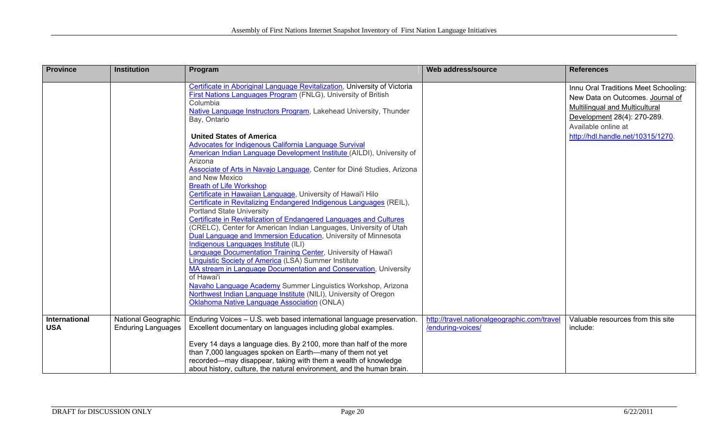| Province                    | <b>Institution</b><br>Program                           |                                                                                                                                                                                                                                                                                                                                                                                                                                                                                                                                                                                                                                                                                                                                                                                                                                                                                                                                                                                                                                                                                                                                                                                                                                                                                                                                                                                                | Web address/source                                               | <b>References</b>                                                                                                                                                                                     |
|-----------------------------|---------------------------------------------------------|------------------------------------------------------------------------------------------------------------------------------------------------------------------------------------------------------------------------------------------------------------------------------------------------------------------------------------------------------------------------------------------------------------------------------------------------------------------------------------------------------------------------------------------------------------------------------------------------------------------------------------------------------------------------------------------------------------------------------------------------------------------------------------------------------------------------------------------------------------------------------------------------------------------------------------------------------------------------------------------------------------------------------------------------------------------------------------------------------------------------------------------------------------------------------------------------------------------------------------------------------------------------------------------------------------------------------------------------------------------------------------------------|------------------------------------------------------------------|-------------------------------------------------------------------------------------------------------------------------------------------------------------------------------------------------------|
|                             |                                                         | Certificate in Aboriginal Language Revitalization, University of Victoria<br>First Nations Languages Program (FNLG), University of British<br>Columbia<br>Native Language Instructors Program, Lakehead University, Thunder<br>Bay, Ontario<br><b>United States of America</b><br>Advocates for Indigenous California Language Survival<br>American Indian Language Development Institute (AILDI), University of<br>Arizona<br>Associate of Arts in Navajo Language, Center for Diné Studies, Arizona<br>and New Mexico<br><b>Breath of Life Workshop</b><br>Certificate in Hawaiian Language, University of Hawai'i Hilo<br>Certificate in Revitalizing Endangered Indigenous Languages (REIL),<br><b>Portland State University</b><br>Certificate in Revitalization of Endangered Languages and Cultures<br>(CRELC), Center for American Indian Languages, University of Utah<br>Dual Language and Immersion Education, University of Minnesota<br>Indigenous Languages Institute (ILI)<br>Language Documentation Training Center, University of Hawai'i<br>Linguistic Society of America (LSA) Summer Institute<br>MA stream in Language Documentation and Conservation, University<br>of Hawai'i<br>Navaho Language Academy Summer Linguistics Workshop, Arizona<br>Northwest Indian Language Institute (NILI), University of Oregon<br><b>Oklahoma Native Language Association (ONLA)</b> |                                                                  | Innu Oral Traditions Meet Schooling:<br>New Data on Outcomes. Journal of<br>Multilingual and Multicultural<br>Development 28(4): 270-289.<br>Available online at<br>http://hdl.handle.net/10315/1270. |
| International<br><b>USA</b> | <b>National Geographic</b><br><b>Enduring Languages</b> | Enduring Voices - U.S. web based international language preservation.<br>Excellent documentary on languages including global examples.<br>Every 14 days a language dies. By 2100, more than half of the more<br>than 7,000 languages spoken on Earth-many of them not yet<br>recorded—may disappear, taking with them a wealth of knowledge<br>about history, culture, the natural environment, and the human brain.                                                                                                                                                                                                                                                                                                                                                                                                                                                                                                                                                                                                                                                                                                                                                                                                                                                                                                                                                                           | http://travel.nationalgeographic.com/travel<br>/enduring-voices/ | Valuable resources from this site<br>include:                                                                                                                                                         |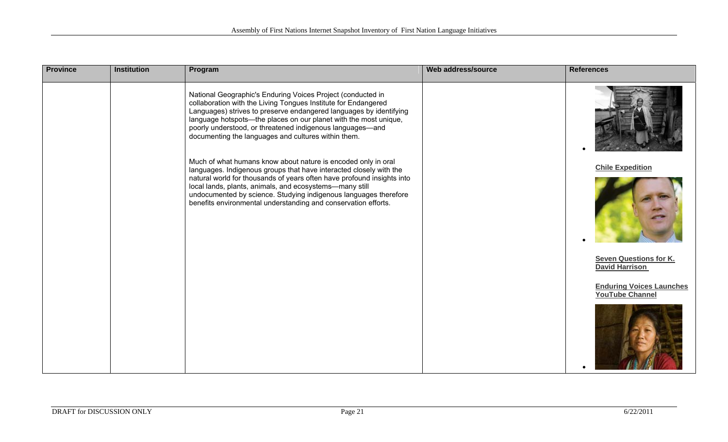| <b>Province</b> | <b>Institution</b> | Program                                                                                                                                                                                                                                                                                                                                                                                     | Web address/source | <b>References</b>                                         |
|-----------------|--------------------|---------------------------------------------------------------------------------------------------------------------------------------------------------------------------------------------------------------------------------------------------------------------------------------------------------------------------------------------------------------------------------------------|--------------------|-----------------------------------------------------------|
|                 |                    | National Geographic's Enduring Voices Project (conducted in<br>collaboration with the Living Tongues Institute for Endangered<br>Languages) strives to preserve endangered languages by identifying<br>language hotspots-the places on our planet with the most unique,<br>poorly understood, or threatened indigenous languages-and<br>documenting the languages and cultures within them. |                    |                                                           |
|                 |                    | Much of what humans know about nature is encoded only in oral<br>languages. Indigenous groups that have interacted closely with the                                                                                                                                                                                                                                                         |                    | <b>Chile Expedition</b>                                   |
|                 |                    | natural world for thousands of years often have profound insights into<br>local lands, plants, animals, and ecosystems-many still<br>undocumented by science. Studying indigenous languages therefore<br>benefits environmental understanding and conservation efforts.                                                                                                                     |                    |                                                           |
|                 |                    |                                                                                                                                                                                                                                                                                                                                                                                             |                    | <b>Seven Questions for K.</b><br><b>David Harrison</b>    |
|                 |                    |                                                                                                                                                                                                                                                                                                                                                                                             |                    | <b>Enduring Voices Launches</b><br><b>YouTube Channel</b> |
|                 |                    |                                                                                                                                                                                                                                                                                                                                                                                             |                    |                                                           |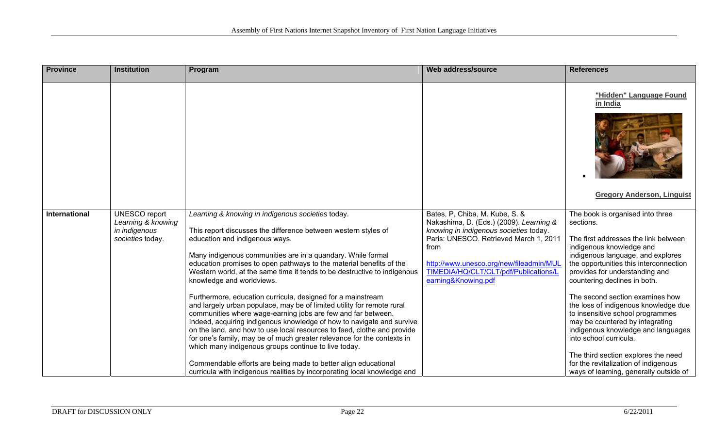| <b>Province</b> | <b>Institution</b>                                                              | Program                                                                                                                                                                                                                                                                                                                                                                                                                                                                                                                                                                                                                                                                                                                                                                                                                                                                                                                                                                                                                                           | Web address/source                                                                                                                                                                                                                                                               | <b>References</b>                                                                                                                                                                                                                                                                                                                                                                                                                                                                                                                                                                                             |
|-----------------|---------------------------------------------------------------------------------|---------------------------------------------------------------------------------------------------------------------------------------------------------------------------------------------------------------------------------------------------------------------------------------------------------------------------------------------------------------------------------------------------------------------------------------------------------------------------------------------------------------------------------------------------------------------------------------------------------------------------------------------------------------------------------------------------------------------------------------------------------------------------------------------------------------------------------------------------------------------------------------------------------------------------------------------------------------------------------------------------------------------------------------------------|----------------------------------------------------------------------------------------------------------------------------------------------------------------------------------------------------------------------------------------------------------------------------------|---------------------------------------------------------------------------------------------------------------------------------------------------------------------------------------------------------------------------------------------------------------------------------------------------------------------------------------------------------------------------------------------------------------------------------------------------------------------------------------------------------------------------------------------------------------------------------------------------------------|
|                 |                                                                                 |                                                                                                                                                                                                                                                                                                                                                                                                                                                                                                                                                                                                                                                                                                                                                                                                                                                                                                                                                                                                                                                   |                                                                                                                                                                                                                                                                                  | "Hidden" Language Found<br>in India<br><b>Gregory Anderson, Linguist</b>                                                                                                                                                                                                                                                                                                                                                                                                                                                                                                                                      |
| International   | <b>UNESCO</b> report<br>Learning & knowing<br>in indigenous<br>societies today. | Learning & knowing in indigenous societies today.<br>This report discusses the difference between western styles of<br>education and indigenous ways.<br>Many indigenous communities are in a quandary. While formal<br>education promises to open pathways to the material benefits of the<br>Western world, at the same time it tends to be destructive to indigenous<br>knowledge and worldviews.<br>Furthermore, education curricula, designed for a mainstream<br>and largely urban populace, may be of limited utility for remote rural<br>communities where wage-earning jobs are few and far between.<br>Indeed, acquiring indigenous knowledge of how to navigate and survive<br>on the land, and how to use local resources to feed, clothe and provide<br>for one's family, may be of much greater relevance for the contexts in<br>which many indigenous groups continue to live today.<br>Commendable efforts are being made to better align educational<br>curricula with indigenous realities by incorporating local knowledge and | Bates, P, Chiba, M. Kube, S. &<br>Nakashima, D. (Eds.) (2009). Learning &<br>knowing in indigenous societies today.<br>Paris: UNESCO. Retrieved March 1, 2011<br>from<br>http://www.unesco.org/new/fileadmin/MUI<br>TIMEDIA/HQ/CLT/CLT/pdf/Publications/L<br>earning&Knowing.pdf | The book is organised into three<br>sections.<br>The first addresses the link between<br>indigenous knowledge and<br>indigenous language, and explores<br>the opportunities this interconnection<br>provides for understanding and<br>countering declines in both.<br>The second section examines how<br>the loss of indigenous knowledge due<br>to insensitive school programmes<br>may be countered by integrating<br>indigenous knowledge and languages<br>into school curricula.<br>The third section explores the need<br>for the revitalization of indigenous<br>ways of learning, generally outside of |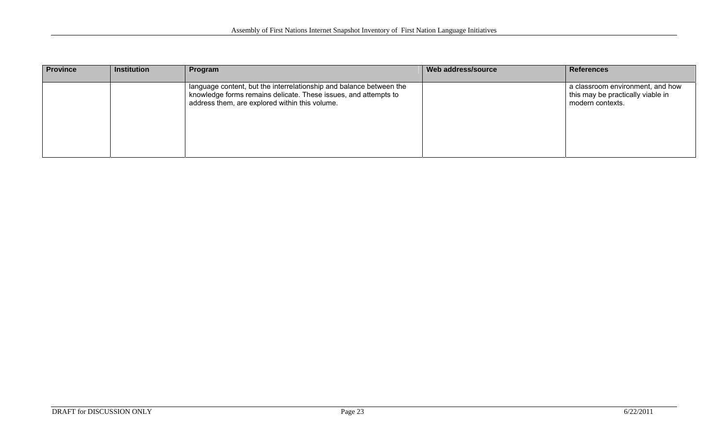| <b>Province</b> | <b>Institution</b> | Program                                                                                                                                                                                  | Web address/source | <b>References</b>                                                                         |
|-----------------|--------------------|------------------------------------------------------------------------------------------------------------------------------------------------------------------------------------------|--------------------|-------------------------------------------------------------------------------------------|
|                 |                    | language content, but the interrelationship and balance between the<br>knowledge forms remains delicate. These issues, and attempts to<br>address them, are explored within this volume. |                    | a classroom environment, and how<br>this may be practically viable in<br>modern contexts. |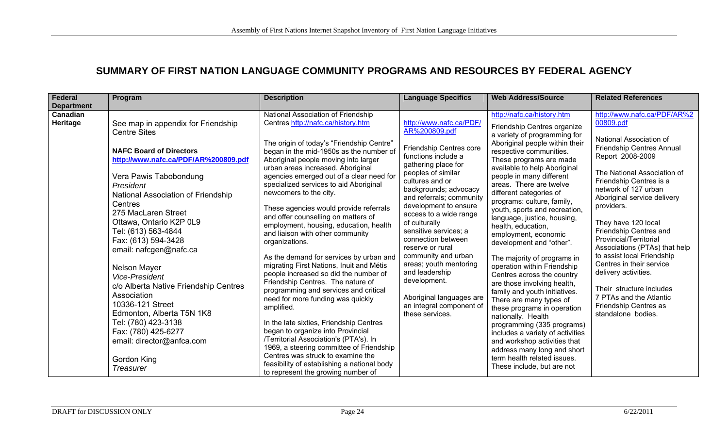## **SUMMARY OF FIRST NATION LANGUAGE COMMUNITY PROGRAMS AND RESOURCES BY FEDERAL AGENCY**

| Federal                                   | Program                                                                                                                                                                                                                                                                                                                                                                                                                                                                                                                                                                                                        | <b>Description</b>                                                                                                                                                                                                                                                                                                                                                                                                                                                                                                                                                                                                                                                                                                                                                                                                                                                                                                                                                                                                                                                                                              | <b>Language Specifics</b>                                                                                                                                                                                                                                                                                                                                                                                                                                                                                            | <b>Web Address/Source</b>                                                                                                                                                                                                                                                                                                                                                                                                                                                                                                                                                                                                                                                                                                                                                                                                                                                                                             | <b>Related References</b>                                                                                                                                                                                                                                                                                                                                                                                                                                                                                                                                      |
|-------------------------------------------|----------------------------------------------------------------------------------------------------------------------------------------------------------------------------------------------------------------------------------------------------------------------------------------------------------------------------------------------------------------------------------------------------------------------------------------------------------------------------------------------------------------------------------------------------------------------------------------------------------------|-----------------------------------------------------------------------------------------------------------------------------------------------------------------------------------------------------------------------------------------------------------------------------------------------------------------------------------------------------------------------------------------------------------------------------------------------------------------------------------------------------------------------------------------------------------------------------------------------------------------------------------------------------------------------------------------------------------------------------------------------------------------------------------------------------------------------------------------------------------------------------------------------------------------------------------------------------------------------------------------------------------------------------------------------------------------------------------------------------------------|----------------------------------------------------------------------------------------------------------------------------------------------------------------------------------------------------------------------------------------------------------------------------------------------------------------------------------------------------------------------------------------------------------------------------------------------------------------------------------------------------------------------|-----------------------------------------------------------------------------------------------------------------------------------------------------------------------------------------------------------------------------------------------------------------------------------------------------------------------------------------------------------------------------------------------------------------------------------------------------------------------------------------------------------------------------------------------------------------------------------------------------------------------------------------------------------------------------------------------------------------------------------------------------------------------------------------------------------------------------------------------------------------------------------------------------------------------|----------------------------------------------------------------------------------------------------------------------------------------------------------------------------------------------------------------------------------------------------------------------------------------------------------------------------------------------------------------------------------------------------------------------------------------------------------------------------------------------------------------------------------------------------------------|
| <b>Department</b><br>Canadian<br>Heritage | See map in appendix for Friendship<br><b>Centre Sites</b><br><b>NAFC Board of Directors</b><br>http://www.nafc.ca/PDF/AR%200809.pdf<br>Vera Pawis Tabobondung<br>President<br>National Association of Friendship<br>Centres<br>275 MacLaren Street<br>Ottawa, Ontario K2P 0L9<br>Tel: (613) 563-4844<br>Fax: (613) 594-3428<br>email: nafcgen@nafc.ca<br><b>Nelson Mayer</b><br>Vice-President<br>c/o Alberta Native Friendship Centres<br>Association<br>10336-121 Street<br>Edmonton, Alberta T5N 1K8<br>Tel: (780) 423-3138<br>Fax: (780) 425-6277<br>email: director@anfca.com<br>Gordon King<br>Treasurer | National Association of Friendship<br>Centres http://nafc.ca/history.htm<br>The origin of today's "Friendship Centre"<br>began in the mid-1950s as the number of<br>Aboriginal people moving into larger<br>urban areas increased. Aboriginal<br>agencies emerged out of a clear need for<br>specialized services to aid Aboriginal<br>newcomers to the city.<br>These agencies would provide referrals<br>and offer counselling on matters of<br>employment, housing, education, health<br>and liaison with other community<br>organizations.<br>As the demand for services by urban and<br>migrating First Nations, Inuit and Métis<br>people increased so did the number of<br>Friendship Centres. The nature of<br>programming and services and critical<br>need for more funding was quickly<br>amplified.<br>In the late sixties, Friendship Centres<br>began to organize into Provincial<br>/Territorial Association's (PTA's). In<br>1969, a steering committee of Friendship<br>Centres was struck to examine the<br>feasibility of establishing a national body<br>to represent the growing number of | http://www.nafc.ca/PDF/<br>AR%200809.pdf<br>Friendship Centres core<br>functions include a<br>gathering place for<br>peoples of similar<br>cultures and or<br>backgrounds; advocacy<br>and referrals; community<br>development to ensure<br>access to a wide range<br>of culturally<br>sensitive services; a<br>connection between<br>reserve or rural<br>community and urban<br>areas; youth mentoring<br>and leadership<br>development.<br>Aboriginal languages are<br>an integral component of<br>these services. | http://nafc.ca/history.htm<br>Friendship Centres organize<br>a variety of programming for<br>Aboriginal people within their<br>respective communities.<br>These programs are made<br>available to help Aboriginal<br>people in many different<br>areas. There are twelve<br>different categories of<br>programs: culture, family,<br>youth, sports and recreation,<br>language, justice, housing,<br>health, education,<br>employment, economic<br>development and "other".<br>The majority of programs in<br>operation within Friendship<br>Centres across the country<br>are those involving health,<br>family and youth initiatives.<br>There are many types of<br>these programs in operation<br>nationally. Health<br>programming (335 programs)<br>includes a variety of activities<br>and workshop activities that<br>address many long and short<br>term health related issues.<br>These include, but are not | http://www.nafc.ca/PDF/AR%2<br>00809.pdf<br>National Association of<br><b>Friendship Centres Annual</b><br>Report 2008-2009<br>The National Association of<br>Friendship Centres is a<br>network of 127 urban<br>Aboriginal service delivery<br>providers.<br>They have 120 local<br>Friendship Centres and<br>Provincial/Territorial<br>Associations (PTAs) that help<br>to assist local Friendship<br>Centres in their service<br>delivery activities.<br>Their structure includes<br>7 PTAs and the Atlantic<br>Friendship Centres as<br>standalone bodies. |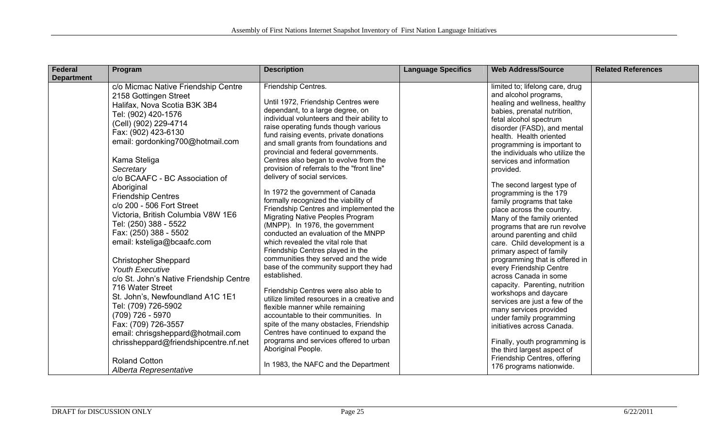| <b>Federal</b>    | Program                                                                                                                                                                                                                                                                                                                                                                                                                                                                                                                                                                                                                                                                                                                                                                                                                            | <b>Description</b>                                                                                                                                                                                                                                                                                                                                                                                                                                                                                                                                                                                                                                                                                                                                                                                                                                                                                                                                                                                                                                                                                                                                                                                                        | <b>Language Specifics</b> | <b>Web Address/Source</b>                                                                                                                                                                                                                                                                                                                                                                                                                                                                                                                                                                                                                                                                                                                                                                                                                                                                                                                                                                              | <b>Related References</b> |
|-------------------|------------------------------------------------------------------------------------------------------------------------------------------------------------------------------------------------------------------------------------------------------------------------------------------------------------------------------------------------------------------------------------------------------------------------------------------------------------------------------------------------------------------------------------------------------------------------------------------------------------------------------------------------------------------------------------------------------------------------------------------------------------------------------------------------------------------------------------|---------------------------------------------------------------------------------------------------------------------------------------------------------------------------------------------------------------------------------------------------------------------------------------------------------------------------------------------------------------------------------------------------------------------------------------------------------------------------------------------------------------------------------------------------------------------------------------------------------------------------------------------------------------------------------------------------------------------------------------------------------------------------------------------------------------------------------------------------------------------------------------------------------------------------------------------------------------------------------------------------------------------------------------------------------------------------------------------------------------------------------------------------------------------------------------------------------------------------|---------------------------|--------------------------------------------------------------------------------------------------------------------------------------------------------------------------------------------------------------------------------------------------------------------------------------------------------------------------------------------------------------------------------------------------------------------------------------------------------------------------------------------------------------------------------------------------------------------------------------------------------------------------------------------------------------------------------------------------------------------------------------------------------------------------------------------------------------------------------------------------------------------------------------------------------------------------------------------------------------------------------------------------------|---------------------------|
| <b>Department</b> | c/o Micmac Native Friendship Centre<br>2158 Gottingen Street<br>Halifax, Nova Scotia B3K 3B4<br>Tel: (902) 420-1576<br>(Cell) (902) 229-4714<br>Fax: (902) 423-6130<br>email: gordonking700@hotmail.com<br>Kama Steliga<br>Secretary<br>c/o BCAAFC - BC Association of<br>Aboriginal<br><b>Friendship Centres</b><br>c/o 200 - 506 Fort Street<br>Victoria, British Columbia V8W 1E6<br>Tel: (250) 388 - 5522<br>Fax: (250) 388 - 5502<br>email: ksteliga@bcaafc.com<br><b>Christopher Sheppard</b><br><b>Youth Executive</b><br>c/o St. John's Native Friendship Centre<br>716 Water Street<br>St. John's, Newfoundland A1C 1E1<br>Tel: (709) 726-5902<br>(709) 726 - 5970<br>Fax: (709) 726-3557<br>email: chrisgsheppard@hotmail.com<br>chrissheppard@friendshipcentre.nf.net<br><b>Roland Cotton</b><br>Alberta Representative | Friendship Centres.<br>Until 1972, Friendship Centres were<br>dependant, to a large degree, on<br>individual volunteers and their ability to<br>raise operating funds though various<br>fund raising events, private donations<br>and small grants from foundations and<br>provincial and federal governments.<br>Centres also began to evolve from the<br>provision of referrals to the "front line"<br>delivery of social services.<br>In 1972 the government of Canada<br>formally recognized the viability of<br>Friendship Centres and implemented the<br><b>Migrating Native Peoples Program</b><br>(MNPP). In 1976, the government<br>conducted an evaluation of the MNPP<br>which revealed the vital role that<br>Friendship Centres played in the<br>communities they served and the wide<br>base of the community support they had<br>established.<br>Friendship Centres were also able to<br>utilize limited resources in a creative and<br>flexible manner while remaining<br>accountable to their communities. In<br>spite of the many obstacles, Friendship<br>Centres have continued to expand the<br>programs and services offered to urban<br>Aboriginal People.<br>In 1983, the NAFC and the Department |                           | limited to; lifelong care, drug<br>and alcohol programs,<br>healing and wellness, healthy<br>babies, prenatal nutrition,<br>fetal alcohol spectrum<br>disorder (FASD), and mental<br>health. Health oriented<br>programming is important to<br>the individuals who utilize the<br>services and information<br>provided.<br>The second largest type of<br>programming is the 179<br>family programs that take<br>place across the country.<br>Many of the family oriented<br>programs that are run revolve<br>around parenting and child<br>care. Child development is a<br>primary aspect of family<br>programming that is offered in<br>every Friendship Centre<br>across Canada in some<br>capacity. Parenting, nutrition<br>workshops and daycare<br>services are just a few of the<br>many services provided<br>under family programming<br>initiatives across Canada.<br>Finally, youth programming is<br>the third largest aspect of<br>Friendship Centres, offering<br>176 programs nationwide. |                           |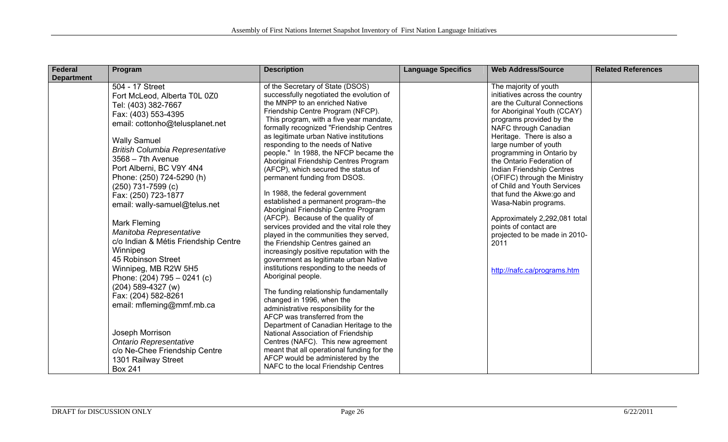| Federal           | Program                                                                                                                                                                                                                                                                                                                                                                                                                                                                                                                                                                                                                                                                                                                                                   | <b>Description</b>                                                                                                                                                                                                                                                                                                                                                                                                                                                                                                                                                                                                                                                                                                                                                                                                                                                                                                                                                                                                                                                                                                                                                                                                                                                                                                            | <b>Language Specifics</b> | <b>Web Address/Source</b>                                                                                                                                                                                                                                                                                                                                                                                                                                                                                                                                                      | <b>Related References</b> |
|-------------------|-----------------------------------------------------------------------------------------------------------------------------------------------------------------------------------------------------------------------------------------------------------------------------------------------------------------------------------------------------------------------------------------------------------------------------------------------------------------------------------------------------------------------------------------------------------------------------------------------------------------------------------------------------------------------------------------------------------------------------------------------------------|-------------------------------------------------------------------------------------------------------------------------------------------------------------------------------------------------------------------------------------------------------------------------------------------------------------------------------------------------------------------------------------------------------------------------------------------------------------------------------------------------------------------------------------------------------------------------------------------------------------------------------------------------------------------------------------------------------------------------------------------------------------------------------------------------------------------------------------------------------------------------------------------------------------------------------------------------------------------------------------------------------------------------------------------------------------------------------------------------------------------------------------------------------------------------------------------------------------------------------------------------------------------------------------------------------------------------------|---------------------------|--------------------------------------------------------------------------------------------------------------------------------------------------------------------------------------------------------------------------------------------------------------------------------------------------------------------------------------------------------------------------------------------------------------------------------------------------------------------------------------------------------------------------------------------------------------------------------|---------------------------|
| <b>Department</b> | 504 - 17 Street<br>Fort McLeod, Alberta T0L 0Z0<br>Tel: (403) 382-7667<br>Fax: (403) 553-4395<br>email: cottonho@telusplanet.net<br><b>Wally Samuel</b><br><b>British Columbia Representative</b><br>$3568 - 7th$ Avenue<br>Port Alberni, BC V9Y 4N4<br>Phone: (250) 724-5290 (h)<br>$(250)$ 731-7599 (c)<br>Fax: (250) 723-1877<br>email: wally-samuel@telus.net<br>Mark Fleming<br>Manitoba Representative<br>c/o Indian & Métis Friendship Centre<br>Winnipeg<br>45 Robinson Street<br>Winnipeg, MB R2W 5H5<br>Phone: $(204)$ 795 - 0241 (c)<br>$(204)$ 589-4327 (w)<br>Fax: (204) 582-8261<br>email: mfleming@mmf.mb.ca<br>Joseph Morrison<br><b>Ontario Representative</b><br>c/o Ne-Chee Friendship Centre<br>1301 Railway Street<br><b>Box 241</b> | of the Secretary of State (DSOS)<br>successfully negotiated the evolution of<br>the MNPP to an enriched Native<br>Friendship Centre Program (NFCP).<br>This program, with a five year mandate,<br>formally recognized "Friendship Centres<br>as legitimate urban Native institutions<br>responding to the needs of Native<br>people." In 1988, the NFCP became the<br>Aboriginal Friendship Centres Program<br>(AFCP), which secured the status of<br>permanent funding from DSOS.<br>In 1988, the federal government<br>established a permanent program-the<br>Aboriginal Friendship Centre Program<br>(AFCP). Because of the quality of<br>services provided and the vital role they<br>played in the communities they served,<br>the Friendship Centres gained an<br>increasingly positive reputation with the<br>government as legitimate urban Native<br>institutions responding to the needs of<br>Aboriginal people.<br>The funding relationship fundamentally<br>changed in 1996, when the<br>administrative responsibility for the<br>AFCP was transferred from the<br>Department of Canadian Heritage to the<br>National Association of Friendship<br>Centres (NAFC). This new agreement<br>meant that all operational funding for the<br>AFCP would be administered by the<br>NAFC to the local Friendship Centres |                           | The majority of youth<br>initiatives across the country<br>are the Cultural Connections<br>for Aboriginal Youth (CCAY)<br>programs provided by the<br>NAFC through Canadian<br>Heritage. There is also a<br>large number of youth<br>programming in Ontario by<br>the Ontario Federation of<br>Indian Friendship Centres<br>(OFIFC) through the Ministry<br>of Child and Youth Services<br>that fund the Akwe:go and<br>Wasa-Nabin programs.<br>Approximately 2,292,081 total<br>points of contact are<br>projected to be made in 2010-<br>2011<br>http://nafc.ca/programs.htm |                           |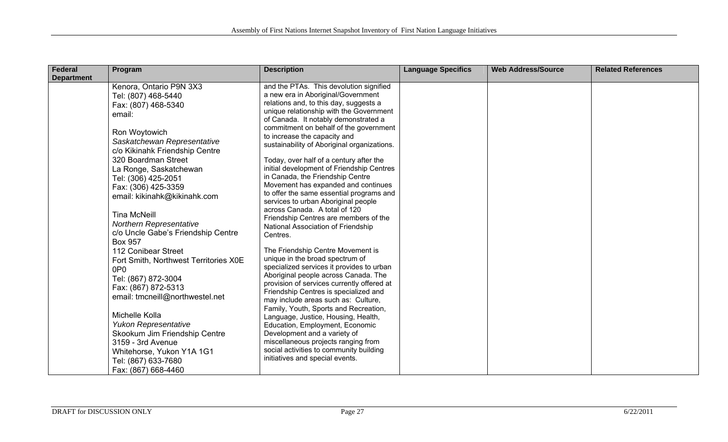| <b>Federal</b>    | Program                                                       | <b>Description</b>                                                            | <b>Language Specifics</b> | <b>Web Address/Source</b> | <b>Related References</b> |
|-------------------|---------------------------------------------------------------|-------------------------------------------------------------------------------|---------------------------|---------------------------|---------------------------|
| <b>Department</b> |                                                               |                                                                               |                           |                           |                           |
|                   | Kenora, Ontario P9N 3X3                                       | and the PTAs. This devolution signified<br>a new era in Aboriginal/Government |                           |                           |                           |
|                   | Tel: (807) 468-5440                                           | relations and, to this day, suggests a                                        |                           |                           |                           |
|                   | Fax: (807) 468-5340                                           | unique relationship with the Government                                       |                           |                           |                           |
|                   | email:                                                        | of Canada. It notably demonstrated a                                          |                           |                           |                           |
|                   |                                                               | commitment on behalf of the government                                        |                           |                           |                           |
|                   | Ron Woytowich                                                 | to increase the capacity and                                                  |                           |                           |                           |
|                   | Saskatchewan Representative<br>c/o Kikinahk Friendship Centre | sustainability of Aboriginal organizations.                                   |                           |                           |                           |
|                   | 320 Boardman Street                                           | Today, over half of a century after the                                       |                           |                           |                           |
|                   | La Ronge, Saskatchewan                                        | initial development of Friendship Centres                                     |                           |                           |                           |
|                   | Tel: (306) 425-2051                                           | in Canada, the Friendship Centre                                              |                           |                           |                           |
|                   | Fax: (306) 425-3359                                           | Movement has expanded and continues                                           |                           |                           |                           |
|                   | email: kikinahk@kikinahk.com                                  | to offer the same essential programs and                                      |                           |                           |                           |
|                   |                                                               | services to urban Aboriginal people                                           |                           |                           |                           |
|                   | <b>Tina McNeill</b>                                           | across Canada. A total of 120<br>Friendship Centres are members of the        |                           |                           |                           |
|                   | <b>Northern Representative</b>                                | National Association of Friendship                                            |                           |                           |                           |
|                   | c/o Uncle Gabe's Friendship Centre                            | Centres.                                                                      |                           |                           |                           |
|                   | <b>Box 957</b>                                                |                                                                               |                           |                           |                           |
|                   | 112 Conibear Street                                           | The Friendship Centre Movement is                                             |                           |                           |                           |
|                   | Fort Smith, Northwest Territories X0E                         | unique in the broad spectrum of                                               |                           |                           |                           |
|                   | 0P <sub>0</sub>                                               | specialized services it provides to urban                                     |                           |                           |                           |
|                   | Tel: (867) 872-3004                                           | Aboriginal people across Canada. The                                          |                           |                           |                           |
|                   | Fax: (867) 872-5313                                           | provision of services currently offered at                                    |                           |                           |                           |
|                   | email: tmcneill@northwestel.net                               | Friendship Centres is specialized and                                         |                           |                           |                           |
|                   |                                                               | may include areas such as: Culture,<br>Family, Youth, Sports and Recreation,  |                           |                           |                           |
|                   | Michelle Kolla                                                | Language, Justice, Housing, Health,                                           |                           |                           |                           |
|                   | Yukon Representative                                          | Education, Employment, Economic                                               |                           |                           |                           |
|                   | Skookum Jim Friendship Centre                                 | Development and a variety of                                                  |                           |                           |                           |
|                   | 3159 - 3rd Avenue                                             | miscellaneous projects ranging from                                           |                           |                           |                           |
|                   | Whitehorse, Yukon Y1A 1G1                                     | social activities to community building                                       |                           |                           |                           |
|                   | Tel: (867) 633-7680                                           | initiatives and special events.                                               |                           |                           |                           |
|                   | Fax: (867) 668-4460                                           |                                                                               |                           |                           |                           |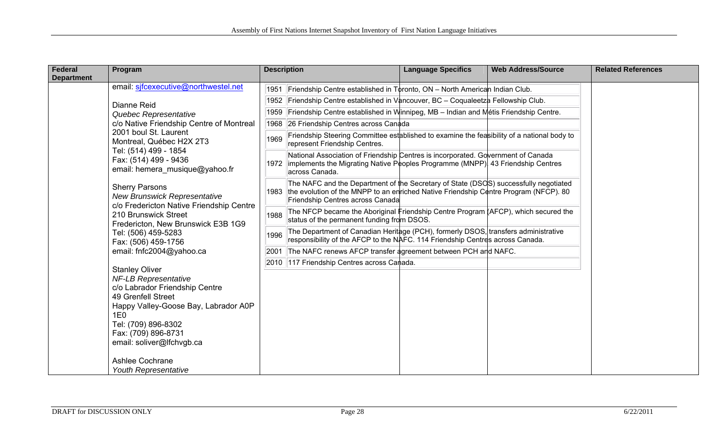| Federal           | Program                                                                                                                                                                                                                                | <b>Description</b>                                                                                                                                                                                                       | <b>Language Specifics</b> | <b>Web Address/Source</b> | <b>Related References</b> |
|-------------------|----------------------------------------------------------------------------------------------------------------------------------------------------------------------------------------------------------------------------------------|--------------------------------------------------------------------------------------------------------------------------------------------------------------------------------------------------------------------------|---------------------------|---------------------------|---------------------------|
| <b>Department</b> |                                                                                                                                                                                                                                        |                                                                                                                                                                                                                          |                           |                           |                           |
|                   | email: sifcexecutive@northwestel.net                                                                                                                                                                                                   | 1951 Friendship Centre established in Toronto, ON - North American Indian Club.                                                                                                                                          |                           |                           |                           |
|                   | Dianne Reid                                                                                                                                                                                                                            | 1952 Friendship Centre established in Vancouver, BC - Coqualeetza Fellowship Club.                                                                                                                                       |                           |                           |                           |
|                   | Quebec Representative                                                                                                                                                                                                                  | Friendship Centre established in Winnipeg, MB - Indian and Métis Friendship Centre.<br>1959                                                                                                                              |                           |                           |                           |
|                   | c/o Native Friendship Centre of Montreal                                                                                                                                                                                               | 1968 26 Friendship Centres across Canada                                                                                                                                                                                 |                           |                           |                           |
|                   | 2001 boul St. Laurent<br>Montreal, Québec H2X 2T3                                                                                                                                                                                      | Friendship Steering Committee established to examine the feasibility of a national body to<br>1969<br>represent Friendship Centres.                                                                                      |                           |                           |                           |
|                   | Tel: (514) 499 - 1854<br>Fax: (514) 499 - 9436<br>email: hemera musique@yahoo.fr                                                                                                                                                       | National Association of Friendship Centres is incorporated. Government of Canada<br>implements the Migrating Native Posples Programme (MNPP) 43 Friendship Centres<br>1972<br>across Canada.                             |                           |                           |                           |
|                   | <b>Sherry Parsons</b><br><b>New Brunswick Representative</b><br>c/o Fredericton Native Friendship Centre                                                                                                                               | The NAFC and the Department of the Secretary of State (DSOS) successfully negotiated<br>the evolution of the MNPP to an enriched Native Friendship Centre Program (NFCP). 80<br>1983<br>Friendship Centres across Canada |                           |                           |                           |
|                   | 210 Brunswick Street<br>Fredericton, New Brunswick E3B 1G9                                                                                                                                                                             | The NFCP became the Aboriginal Friendship Centre Program $\overline{A}$ AFCP), which secured the<br>1988<br>status of the permanent funding from DSOS.                                                                   |                           |                           |                           |
|                   | Tel: (506) 459-5283<br>Fax: (506) 459-1756                                                                                                                                                                                             | The Department of Canadian Heritage (PCH), formerly DSOS, transfers administrative<br>1996<br>responsibility of the AFCP to the NAFC. 114 Friendship Centres across Canada.                                              |                           |                           |                           |
|                   | email: fnfc2004@yahoo.ca                                                                                                                                                                                                               | 2001 The NAFC renews AFCP transfer agreement between PCH and NAFC.                                                                                                                                                       |                           |                           |                           |
|                   |                                                                                                                                                                                                                                        | 2010 117 Friendship Centres across Canada.                                                                                                                                                                               |                           |                           |                           |
|                   | <b>Stanley Oliver</b><br><b>NF-LB Representative</b><br>c/o Labrador Friendship Centre<br>49 Grenfell Street<br>Happy Valley-Goose Bay, Labrador A0P<br>1E0<br>Tel: (709) 896-8302<br>Fax: (709) 896-8731<br>email: soliver@lfchvgb.ca |                                                                                                                                                                                                                          |                           |                           |                           |
|                   | Ashlee Cochrane<br>Youth Representative                                                                                                                                                                                                |                                                                                                                                                                                                                          |                           |                           |                           |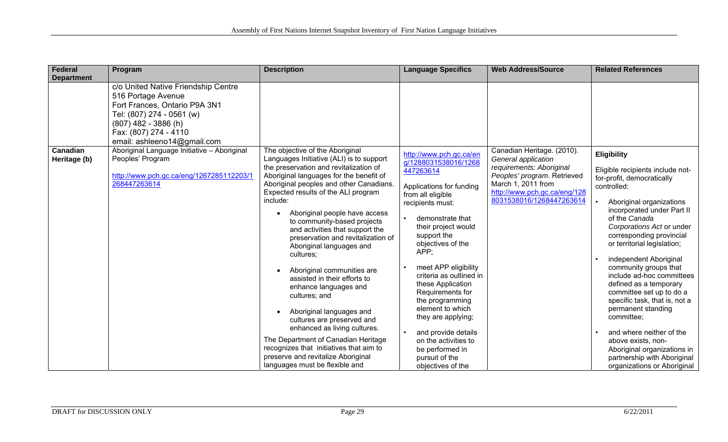| <b>Federal</b>           | Program                                                                                                                                                                                                   | <b>Description</b>                                                                                                                                                                                                                                                                                                                                                                                                                                                                                                                                                                                                                                                                                                                                                                                                        | <b>Language Specifics</b>                                                                                                                                                                                                                                                                                                                                                                                                                                                                  | <b>Web Address/Source</b>                                                                                                                                                                      | <b>Related References</b>                                                                                                                                                                                                                                                                                                                                                                                                                                                                                                                                                                                                        |
|--------------------------|-----------------------------------------------------------------------------------------------------------------------------------------------------------------------------------------------------------|---------------------------------------------------------------------------------------------------------------------------------------------------------------------------------------------------------------------------------------------------------------------------------------------------------------------------------------------------------------------------------------------------------------------------------------------------------------------------------------------------------------------------------------------------------------------------------------------------------------------------------------------------------------------------------------------------------------------------------------------------------------------------------------------------------------------------|--------------------------------------------------------------------------------------------------------------------------------------------------------------------------------------------------------------------------------------------------------------------------------------------------------------------------------------------------------------------------------------------------------------------------------------------------------------------------------------------|------------------------------------------------------------------------------------------------------------------------------------------------------------------------------------------------|----------------------------------------------------------------------------------------------------------------------------------------------------------------------------------------------------------------------------------------------------------------------------------------------------------------------------------------------------------------------------------------------------------------------------------------------------------------------------------------------------------------------------------------------------------------------------------------------------------------------------------|
| <b>Department</b>        | c/o United Native Friendship Centre<br>516 Portage Avenue<br>Fort Frances, Ontario P9A 3N1<br>Tel: (807) 274 - 0561 (w)<br>$(807)$ 482 - 3886 (h)<br>Fax: (807) 274 - 4110<br>email: ashleeno14@gmail.com |                                                                                                                                                                                                                                                                                                                                                                                                                                                                                                                                                                                                                                                                                                                                                                                                                           |                                                                                                                                                                                                                                                                                                                                                                                                                                                                                            |                                                                                                                                                                                                |                                                                                                                                                                                                                                                                                                                                                                                                                                                                                                                                                                                                                                  |
| Canadian<br>Heritage (b) | Aboriginal Language Initiative - Aboriginal<br>Peoples' Program<br>http://www.pch.gc.ca/eng/1267285112203/1<br>268447263614                                                                               | The objective of the Aboriginal<br>Languages Initiative (ALI) is to support<br>the preservation and revitalization of<br>Aboriginal languages for the benefit of<br>Aboriginal peoples and other Canadians.<br>Expected results of the ALI program<br>include:<br>Aboriginal people have access<br>to community-based projects<br>and activities that support the<br>preservation and revitalization of<br>Aboriginal languages and<br>cultures;<br>Aboriginal communities are<br>assisted in their efforts to<br>enhance languages and<br>cultures; and<br>Aboriginal languages and<br>$\bullet$<br>cultures are preserved and<br>enhanced as living cultures.<br>The Department of Canadian Heritage<br>recognizes that initiatives that aim to<br>preserve and revitalize Aboriginal<br>languages must be flexible and | http://www.pch.gc.ca/en<br>g/1288031538016/1268<br>447263614<br>Applications for funding<br>from all eligible<br>recipients must:<br>demonstrate that<br>their project would<br>support the<br>objectives of the<br>APP;<br>meet APP eligibility<br>criteria as outlined in<br>these Application<br>Requirements for<br>the programming<br>element to which<br>they are applying;<br>and provide details<br>on the activities to<br>be performed in<br>pursuit of the<br>objectives of the | Canadian Heritage. (2010).<br>General application<br>requirements: Aboriginal<br>Peoples' program. Retrieved<br>March 1, 2011 from<br>http://www.pch.gc.ca/eng/128<br>8031538016/1268447263614 | <b>Eligibility</b><br>Eligible recipients include not-<br>for-profit, democratically<br>controlled:<br>Aboriginal organizations<br>incorporated under Part II<br>of the Canada<br>Corporations Act or under<br>corresponding provincial<br>or territorial legislation;<br>independent Aboriginal<br>community groups that<br>include ad-hoc committees<br>defined as a temporary<br>committee set up to do a<br>specific task, that is, not a<br>permanent standing<br>committee;<br>and where neither of the<br>above exists, non-<br>Aboriginal organizations in<br>partnership with Aboriginal<br>organizations or Aboriginal |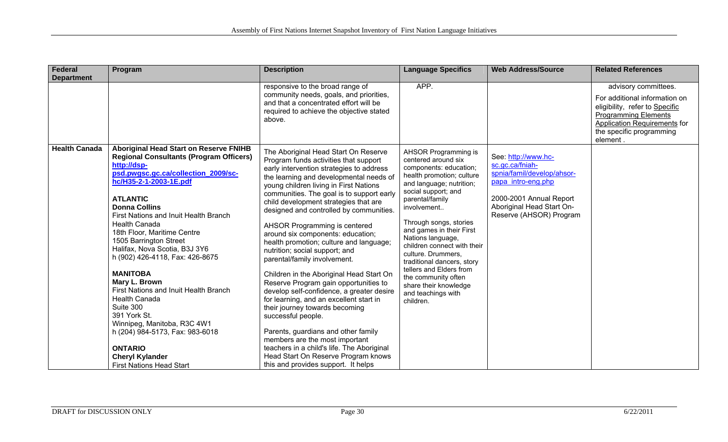| Federal              | Program                                                                                                                                                                                                                                                                                                                                                                                                                                                                                                                                                                                                                                                                                                     | <b>Description</b>                                                                                                                                                                                                                                                                                                                                                                                                                                                                                                                                                                                                                                                                                                                                                                                                                                                                                                                                                           | <b>Language Specifics</b>                                                                                                                                                                                                                                                                                                                                                                                                                                           | <b>Web Address/Source</b>                                                                                                                                                    | <b>Related References</b>                                                                                                                                                                      |
|----------------------|-------------------------------------------------------------------------------------------------------------------------------------------------------------------------------------------------------------------------------------------------------------------------------------------------------------------------------------------------------------------------------------------------------------------------------------------------------------------------------------------------------------------------------------------------------------------------------------------------------------------------------------------------------------------------------------------------------------|------------------------------------------------------------------------------------------------------------------------------------------------------------------------------------------------------------------------------------------------------------------------------------------------------------------------------------------------------------------------------------------------------------------------------------------------------------------------------------------------------------------------------------------------------------------------------------------------------------------------------------------------------------------------------------------------------------------------------------------------------------------------------------------------------------------------------------------------------------------------------------------------------------------------------------------------------------------------------|---------------------------------------------------------------------------------------------------------------------------------------------------------------------------------------------------------------------------------------------------------------------------------------------------------------------------------------------------------------------------------------------------------------------------------------------------------------------|------------------------------------------------------------------------------------------------------------------------------------------------------------------------------|------------------------------------------------------------------------------------------------------------------------------------------------------------------------------------------------|
| <b>Department</b>    |                                                                                                                                                                                                                                                                                                                                                                                                                                                                                                                                                                                                                                                                                                             | responsive to the broad range of<br>community needs, goals, and priorities,<br>and that a concentrated effort will be<br>required to achieve the objective stated<br>above.                                                                                                                                                                                                                                                                                                                                                                                                                                                                                                                                                                                                                                                                                                                                                                                                  | APP.                                                                                                                                                                                                                                                                                                                                                                                                                                                                |                                                                                                                                                                              | advisory committees.<br>For additional information on<br>eligibility, refer to Specific<br><b>Programming Elements</b><br>Application Requirements for<br>the specific programming<br>element. |
| <b>Health Canada</b> | <b>Aboriginal Head Start on Reserve FNIHB</b><br><b>Regional Consultants (Program Officers)</b><br>http://dsp-<br>psd.pwgsc.gc.ca/collection_2009/sc-<br>hc/H35-2-1-2003-1E.pdf<br><b>ATLANTIC</b><br><b>Donna Collins</b><br>First Nations and Inuit Health Branch<br><b>Health Canada</b><br>18th Floor, Maritime Centre<br>1505 Barrington Street<br>Halifax, Nova Scotia, B3J 3Y6<br>h (902) 426-4118, Fax: 426-8675<br><b>MANITOBA</b><br>Mary L. Brown<br>First Nations and Inuit Health Branch<br><b>Health Canada</b><br>Suite 300<br>391 York St.<br>Winnipeg, Manitoba, R3C 4W1<br>h (204) 984-5173, Fax: 983-6018<br><b>ONTARIO</b><br><b>Cheryl Kylander</b><br><b>First Nations Head Start</b> | The Aboriginal Head Start On Reserve<br>Program funds activities that support<br>early intervention strategies to address<br>the learning and developmental needs of<br>young children living in First Nations<br>communities. The goal is to support early<br>child development strategies that are<br>designed and controlled by communities.<br>AHSOR Programming is centered<br>around six components: education;<br>health promotion; culture and language;<br>nutrition; social support; and<br>parental/family involvement.<br>Children in the Aboriginal Head Start On<br>Reserve Program gain opportunities to<br>develop self-confidence, a greater desire<br>for learning, and an excellent start in<br>their journey towards becoming<br>successful people.<br>Parents, guardians and other family<br>members are the most important<br>teachers in a child's life. The Aboriginal<br>Head Start On Reserve Program knows<br>this and provides support. It helps | AHSOR Programming is<br>centered around six<br>components: education;<br>health promotion; culture<br>and language; nutrition;<br>social support; and<br>parental/family<br>involvement<br>Through songs, stories<br>and games in their First<br>Nations language,<br>children connect with their<br>culture. Drummers,<br>traditional dancers, story<br>tellers and Elders from<br>the community often<br>share their knowledge<br>and teachings with<br>children. | See http://www.hc-<br>sc.gc.ca/fniah-<br>spnia/famil/develop/ahsor-<br>papa intro-eng.php<br>2000-2001 Annual Report<br>Aboriginal Head Start On-<br>Reserve (AHSOR) Program |                                                                                                                                                                                                |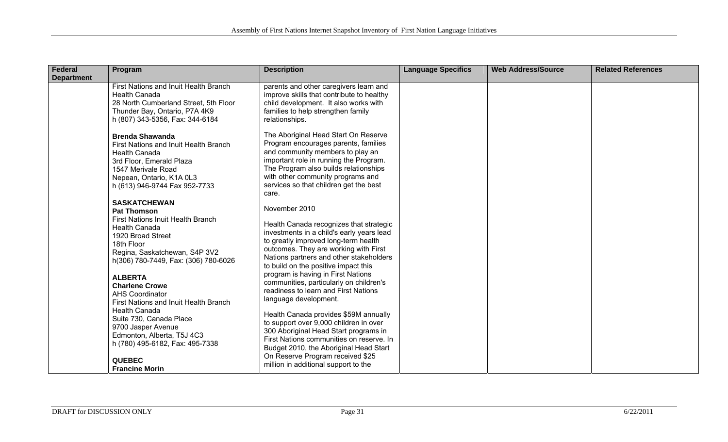| Federal           | Program                                                               | <b>Description</b>                                                                  | <b>Language Specifics</b> | <b>Web Address/Source</b> | <b>Related References</b> |
|-------------------|-----------------------------------------------------------------------|-------------------------------------------------------------------------------------|---------------------------|---------------------------|---------------------------|
| <b>Department</b> |                                                                       |                                                                                     |                           |                           |                           |
|                   | First Nations and Inuit Health Branch<br><b>Health Canada</b>         | parents and other caregivers learn and<br>improve skills that contribute to healthy |                           |                           |                           |
|                   | 28 North Cumberland Street, 5th Floor                                 | child development. It also works with                                               |                           |                           |                           |
|                   | Thunder Bay, Ontario, P7A 4K9                                         | families to help strengthen family                                                  |                           |                           |                           |
|                   | h (807) 343-5356, Fax: 344-6184                                       | relationships.                                                                      |                           |                           |                           |
|                   | <b>Brenda Shawanda</b>                                                | The Aboriginal Head Start On Reserve                                                |                           |                           |                           |
|                   | First Nations and Inuit Health Branch                                 | Program encourages parents, families                                                |                           |                           |                           |
|                   | <b>Health Canada</b>                                                  | and community members to play an                                                    |                           |                           |                           |
|                   | 3rd Floor, Emerald Plaza                                              | important role in running the Program.                                              |                           |                           |                           |
|                   | 1547 Merivale Road                                                    | The Program also builds relationships                                               |                           |                           |                           |
|                   | Nepean, Ontario, K1A 0L3                                              | with other community programs and                                                   |                           |                           |                           |
|                   | h (613) 946-9744 Fax 952-7733                                         | services so that children get the best<br>care.                                     |                           |                           |                           |
|                   | <b>SASKATCHEWAN</b>                                                   |                                                                                     |                           |                           |                           |
|                   | <b>Pat Thomson</b>                                                    | November 2010                                                                       |                           |                           |                           |
|                   | First Nations Inuit Health Branch                                     | Health Canada recognizes that strategic                                             |                           |                           |                           |
|                   | <b>Health Canada</b>                                                  | investments in a child's early years lead                                           |                           |                           |                           |
|                   | 1920 Broad Street                                                     | to greatly improved long-term health                                                |                           |                           |                           |
|                   | 18th Floor                                                            | outcomes. They are working with First                                               |                           |                           |                           |
|                   | Regina, Saskatchewan, S4P 3V2<br>h(306) 780-7449, Fax: (306) 780-6026 | Nations partners and other stakeholders                                             |                           |                           |                           |
|                   |                                                                       | to build on the positive impact this                                                |                           |                           |                           |
|                   | <b>ALBERTA</b>                                                        | program is having in First Nations                                                  |                           |                           |                           |
|                   | <b>Charlene Crowe</b>                                                 | communities, particularly on children's                                             |                           |                           |                           |
|                   | <b>AHS Coordinator</b>                                                | readiness to learn and First Nations                                                |                           |                           |                           |
|                   | First Nations and Inuit Health Branch                                 | language development.                                                               |                           |                           |                           |
|                   | <b>Health Canada</b>                                                  | Health Canada provides \$59M annually                                               |                           |                           |                           |
|                   | Suite 730, Canada Place                                               | to support over 9,000 children in over                                              |                           |                           |                           |
|                   | 9700 Jasper Avenue<br>Edmonton, Alberta, T5J 4C3                      | 300 Aboriginal Head Start programs in                                               |                           |                           |                           |
|                   | h (780) 495-6182, Fax: 495-7338                                       | First Nations communities on reserve. In                                            |                           |                           |                           |
|                   |                                                                       | Budget 2010, the Aboriginal Head Start                                              |                           |                           |                           |
|                   | <b>QUEBEC</b>                                                         | On Reserve Program received \$25                                                    |                           |                           |                           |
|                   | <b>Francine Morin</b>                                                 | million in additional support to the                                                |                           |                           |                           |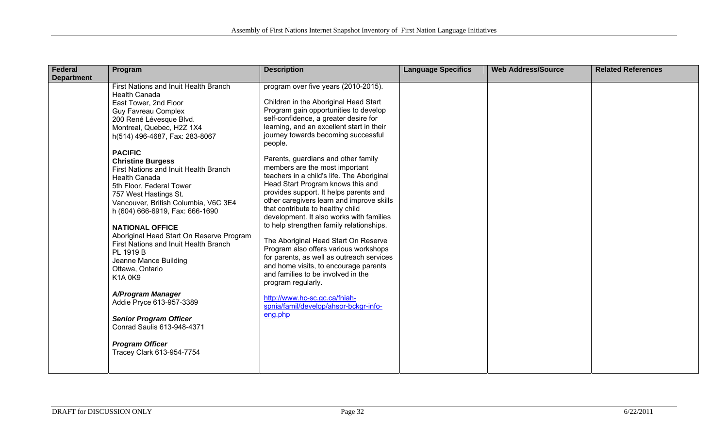| <b>Federal</b>    | Program                                                                                                                                                                                                                                                                                                                                                                                                            | <b>Description</b>                                                                                                                                                                                                                                                                                                                                                                                                                                                                                                                                                                       | <b>Language Specifics</b> | <b>Web Address/Source</b> | <b>Related References</b> |
|-------------------|--------------------------------------------------------------------------------------------------------------------------------------------------------------------------------------------------------------------------------------------------------------------------------------------------------------------------------------------------------------------------------------------------------------------|------------------------------------------------------------------------------------------------------------------------------------------------------------------------------------------------------------------------------------------------------------------------------------------------------------------------------------------------------------------------------------------------------------------------------------------------------------------------------------------------------------------------------------------------------------------------------------------|---------------------------|---------------------------|---------------------------|
| <b>Department</b> |                                                                                                                                                                                                                                                                                                                                                                                                                    |                                                                                                                                                                                                                                                                                                                                                                                                                                                                                                                                                                                          |                           |                           |                           |
|                   | First Nations and Inuit Health Branch<br><b>Health Canada</b><br>East Tower, 2nd Floor                                                                                                                                                                                                                                                                                                                             | program over five years (2010-2015).<br>Children in the Aboriginal Head Start                                                                                                                                                                                                                                                                                                                                                                                                                                                                                                            |                           |                           |                           |
|                   | <b>Guy Favreau Complex</b>                                                                                                                                                                                                                                                                                                                                                                                         | Program gain opportunities to develop                                                                                                                                                                                                                                                                                                                                                                                                                                                                                                                                                    |                           |                           |                           |
|                   | 200 René Lévesque Blvd.                                                                                                                                                                                                                                                                                                                                                                                            | self-confidence, a greater desire for                                                                                                                                                                                                                                                                                                                                                                                                                                                                                                                                                    |                           |                           |                           |
|                   | Montreal, Quebec, H2Z 1X4                                                                                                                                                                                                                                                                                                                                                                                          | learning, and an excellent start in their                                                                                                                                                                                                                                                                                                                                                                                                                                                                                                                                                |                           |                           |                           |
|                   | h(514) 496-4687, Fax: 283-8067                                                                                                                                                                                                                                                                                                                                                                                     | journey towards becoming successful<br>people.                                                                                                                                                                                                                                                                                                                                                                                                                                                                                                                                           |                           |                           |                           |
|                   | <b>PACIFIC</b>                                                                                                                                                                                                                                                                                                                                                                                                     |                                                                                                                                                                                                                                                                                                                                                                                                                                                                                                                                                                                          |                           |                           |                           |
|                   | <b>Christine Burgess</b><br>First Nations and Inuit Health Branch<br><b>Health Canada</b><br>5th Floor, Federal Tower<br>757 West Hastings St.<br>Vancouver, British Columbia, V6C 3E4<br>h (604) 666-6919, Fax: 666-1690<br><b>NATIONAL OFFICE</b><br>Aboriginal Head Start On Reserve Program<br>First Nations and Inuit Health Branch<br>PL 1919 B<br>Jeanne Mance Building<br>Ottawa, Ontario<br><b>K1A0K9</b> | Parents, guardians and other family<br>members are the most important<br>teachers in a child's life. The Aboriginal<br>Head Start Program knows this and<br>provides support. It helps parents and<br>other caregivers learn and improve skills<br>that contribute to healthy child<br>development. It also works with families<br>to help strengthen family relationships.<br>The Aboriginal Head Start On Reserve<br>Program also offers various workshops<br>for parents, as well as outreach services<br>and home visits, to encourage parents<br>and families to be involved in the |                           |                           |                           |
|                   |                                                                                                                                                                                                                                                                                                                                                                                                                    | program regularly.                                                                                                                                                                                                                                                                                                                                                                                                                                                                                                                                                                       |                           |                           |                           |
|                   | A/Program Manager<br>Addie Pryce 613-957-3389                                                                                                                                                                                                                                                                                                                                                                      | http://www.hc-sc.gc.ca/fniah-<br>spnia/famil/develop/ahsor-bckgr-info-                                                                                                                                                                                                                                                                                                                                                                                                                                                                                                                   |                           |                           |                           |
|                   | <b>Senior Program Officer</b><br>Conrad Saulis 613-948-4371                                                                                                                                                                                                                                                                                                                                                        | eng.php                                                                                                                                                                                                                                                                                                                                                                                                                                                                                                                                                                                  |                           |                           |                           |
|                   | <b>Program Officer</b><br>Tracey Clark 613-954-7754                                                                                                                                                                                                                                                                                                                                                                |                                                                                                                                                                                                                                                                                                                                                                                                                                                                                                                                                                                          |                           |                           |                           |
|                   |                                                                                                                                                                                                                                                                                                                                                                                                                    |                                                                                                                                                                                                                                                                                                                                                                                                                                                                                                                                                                                          |                           |                           |                           |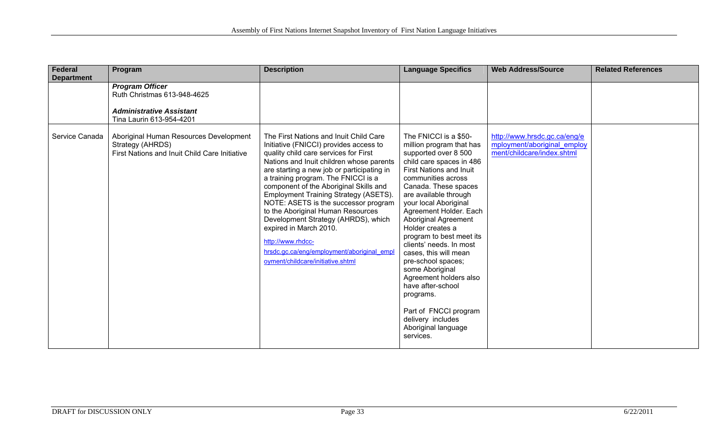| <b>Federal</b>                      | Program                                                                                                                                                        | <b>Description</b>                                                                                                                                                                                                                                                                                                                                                                                                                                                                                                                                        | <b>Language Specifics</b>                                                                                                                                                                                                                                                                                                                                                                                                                                                                                                                                          | <b>Web Address/Source</b>                                 | <b>Related References</b> |
|-------------------------------------|----------------------------------------------------------------------------------------------------------------------------------------------------------------|-----------------------------------------------------------------------------------------------------------------------------------------------------------------------------------------------------------------------------------------------------------------------------------------------------------------------------------------------------------------------------------------------------------------------------------------------------------------------------------------------------------------------------------------------------------|--------------------------------------------------------------------------------------------------------------------------------------------------------------------------------------------------------------------------------------------------------------------------------------------------------------------------------------------------------------------------------------------------------------------------------------------------------------------------------------------------------------------------------------------------------------------|-----------------------------------------------------------|---------------------------|
| <b>Department</b><br>Service Canada | <b>Program Officer</b><br>Ruth Christmas 613-948-4625<br><b>Administrative Assistant</b><br>Tina Laurin 613-954-4201<br>Aboriginal Human Resources Development | The First Nations and Inuit Child Care                                                                                                                                                                                                                                                                                                                                                                                                                                                                                                                    | The FNICCI is a \$50-                                                                                                                                                                                                                                                                                                                                                                                                                                                                                                                                              | http://www.hrsdc.gc.ca/eng/e                              |                           |
|                                     | Strategy (AHRDS)<br>First Nations and Inuit Child Care Initiative                                                                                              | Initiative (FNICCI) provides access to<br>quality child care services for First<br>Nations and Inuit children whose parents<br>are starting a new job or participating in<br>a training program. The FNICCI is a<br>component of the Aboriginal Skills and<br>Employment Training Strategy (ASETS).<br>NOTE: ASETS is the successor program<br>to the Aboriginal Human Resources<br>Development Strategy (AHRDS), which<br>expired in March 2010.<br>http://www.rhdcc-<br>hrsdc.gc.ca/eng/employment/aboriginal empl<br>oyment/childcare/initiative.shtml | million program that has<br>supported over 8 500<br>child care spaces in 486<br><b>First Nations and Inuit</b><br>communities across<br>Canada. These spaces<br>are available through<br>your local Aboriginal<br>Agreement Holder. Each<br><b>Aboriginal Agreement</b><br>Holder creates a<br>program to best meet its<br>clients' needs. In most<br>cases, this will mean<br>pre-school spaces;<br>some Aboriginal<br>Agreement holders also<br>have after-school<br>programs.<br>Part of FNCCI program<br>delivery includes<br>Aboriginal language<br>services. | mployment/aboriginal employ<br>ment/childcare/index.shtml |                           |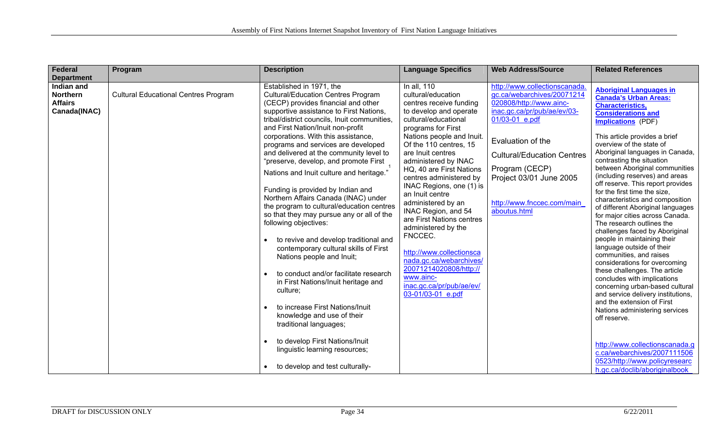| <b>Federal</b>                                                                       | Program                                     | <b>Description</b>                                                                                                                                                                                                                                                                                                                                                                                                                                                                                                                                                                                                                                                                                                                                                                                                                                                                                                                                                                                                                   | <b>Language Specifics</b>                                                                                                                                                                                                                                                                                                                                                                                                                                                                                                                                                                                 | <b>Web Address/Source</b>                                                                                                                                                                                                                                                                    | <b>Related References</b>                                                                                                                                                                                                                                                                                                                                                                                                                                                                                                                                                                                                                                                                                                                                                                                                                                                                                                                                                                                             |
|--------------------------------------------------------------------------------------|---------------------------------------------|--------------------------------------------------------------------------------------------------------------------------------------------------------------------------------------------------------------------------------------------------------------------------------------------------------------------------------------------------------------------------------------------------------------------------------------------------------------------------------------------------------------------------------------------------------------------------------------------------------------------------------------------------------------------------------------------------------------------------------------------------------------------------------------------------------------------------------------------------------------------------------------------------------------------------------------------------------------------------------------------------------------------------------------|-----------------------------------------------------------------------------------------------------------------------------------------------------------------------------------------------------------------------------------------------------------------------------------------------------------------------------------------------------------------------------------------------------------------------------------------------------------------------------------------------------------------------------------------------------------------------------------------------------------|----------------------------------------------------------------------------------------------------------------------------------------------------------------------------------------------------------------------------------------------------------------------------------------------|-----------------------------------------------------------------------------------------------------------------------------------------------------------------------------------------------------------------------------------------------------------------------------------------------------------------------------------------------------------------------------------------------------------------------------------------------------------------------------------------------------------------------------------------------------------------------------------------------------------------------------------------------------------------------------------------------------------------------------------------------------------------------------------------------------------------------------------------------------------------------------------------------------------------------------------------------------------------------------------------------------------------------|
|                                                                                      |                                             |                                                                                                                                                                                                                                                                                                                                                                                                                                                                                                                                                                                                                                                                                                                                                                                                                                                                                                                                                                                                                                      |                                                                                                                                                                                                                                                                                                                                                                                                                                                                                                                                                                                                           |                                                                                                                                                                                                                                                                                              |                                                                                                                                                                                                                                                                                                                                                                                                                                                                                                                                                                                                                                                                                                                                                                                                                                                                                                                                                                                                                       |
| <b>Department</b><br>Indian and<br><b>Northern</b><br><b>Affairs</b><br>Canada(INAC) | <b>Cultural Educational Centres Program</b> | Established in 1971, the<br><b>Cultural/Education Centres Program</b><br>(CECP) provides financial and other<br>supportive assistance to First Nations,<br>tribal/district councils, Inuit communities,<br>and First Nation/Inuit non-profit<br>corporations. With this assistance,<br>programs and services are developed<br>and delivered at the community level to<br>"preserve, develop, and promote First<br>Nations and Inuit culture and heritage."<br>Funding is provided by Indian and<br>Northern Affairs Canada (INAC) under<br>the program to cultural/education centres<br>so that they may pursue any or all of the<br>following objectives:<br>to revive and develop traditional and<br>contemporary cultural skills of First<br>Nations people and Inuit;<br>to conduct and/or facilitate research<br>in First Nations/Inuit heritage and<br>culture;<br>to increase First Nations/Inuit<br>knowledge and use of their<br>traditional languages;<br>to develop First Nations/Inuit<br>linguistic learning resources; | In all, 110<br>cultural/education<br>centres receive funding<br>to develop and operate<br>cultural/educational<br>programs for First<br>Nations people and Inuit.<br>Of the 110 centres, 15<br>are Inuit centres<br>administered by INAC<br>HQ, 40 are First Nations<br>centres administered by<br>INAC Regions, one (1) is<br>an Inuit centre<br>administered by an<br>INAC Region, and 54<br>are First Nations centres<br>administered by the<br>FNCCEC.<br>http://www.collectionsca<br>nada.gc.ca/webarchives/<br>20071214020808/http://<br>www.ainc-<br>inac.gc.ca/pr/pub/ae/ev/<br>03-01/03-01 e.pdf | http://www.collectionscanada.<br>gc.ca/webarchives/20071214<br>020808/http://www.ainc-<br>inac.gc.ca/pr/pub/ae/ev/03-<br>01/03-01 e.pdf<br>Evaluation of the<br><b>Cultural/Education Centres</b><br>Program (CECP)<br>Project 03/01 June 2005<br>http://www.fnccec.com/main<br>aboutus.html | <b>Aboriginal Languages in</b><br><b>Canada's Urban Areas:</b><br><b>Characteristics,</b><br><b>Considerations and</b><br><b>Implications</b> (PDF)<br>This article provides a brief<br>overview of the state of<br>Aboriginal languages in Canada,<br>contrasting the situation<br>between Aboriginal communities<br>(including reserves) and areas<br>off reserve. This report provides<br>for the first time the size.<br>characteristics and composition<br>of different Aboriginal languages<br>for major cities across Canada.<br>The research outlines the<br>challenges faced by Aboriginal<br>people in maintaining their<br>language outside of their<br>communities, and raises<br>considerations for overcoming<br>these challenges. The article<br>concludes with implications<br>concerning urban-based cultural<br>and service delivery institutions,<br>and the extension of First<br>Nations administering services<br>off reserve.<br>http://www.collectionscanada.g<br>c.ca/webarchives/2007111506 |
|                                                                                      |                                             | to develop and test culturally-                                                                                                                                                                                                                                                                                                                                                                                                                                                                                                                                                                                                                                                                                                                                                                                                                                                                                                                                                                                                      |                                                                                                                                                                                                                                                                                                                                                                                                                                                                                                                                                                                                           |                                                                                                                                                                                                                                                                                              | 0523/http://www.policyresearc<br>h.gc.ca/doclib/aboriginalbook                                                                                                                                                                                                                                                                                                                                                                                                                                                                                                                                                                                                                                                                                                                                                                                                                                                                                                                                                        |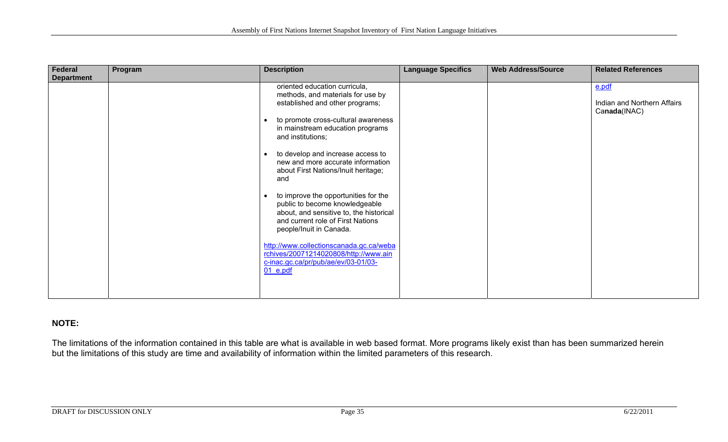| Federal           | Program | <b>Description</b>                                                                                                                                                                                                                                                                                                                | <b>Language Specifics</b> | <b>Web Address/Source</b> | <b>Related References</b>                            |
|-------------------|---------|-----------------------------------------------------------------------------------------------------------------------------------------------------------------------------------------------------------------------------------------------------------------------------------------------------------------------------------|---------------------------|---------------------------|------------------------------------------------------|
| <b>Department</b> |         |                                                                                                                                                                                                                                                                                                                                   |                           |                           |                                                      |
|                   |         | oriented education curricula,<br>methods, and materials for use by<br>established and other programs;<br>to promote cross-cultural awareness<br>in mainstream education programs<br>and institutions;<br>to develop and increase access to<br>new and more accurate information<br>about First Nations/Inuit heritage;            |                           |                           | e.pdf<br>Indian and Northern Affairs<br>Canada(INAC) |
|                   |         | and<br>to improve the opportunities for the<br>public to become knowledgeable<br>about, and sensitive to, the historical<br>and current role of First Nations<br>people/Inuit in Canada.<br>http://www.collectionscanada.gc.ca/weba<br>rchives/20071214020808/http://www.ain<br>c-inac.gc.ca/pr/pub/ae/ev/03-01/03-<br>$01$ e.pdf |                           |                           |                                                      |

### **NOTE:**

The limitations of the information contained in this table are what is available in web based format. More programs likely exist than has been summarized herein but the limitations of this study are time and availability of information within the limited parameters of this research.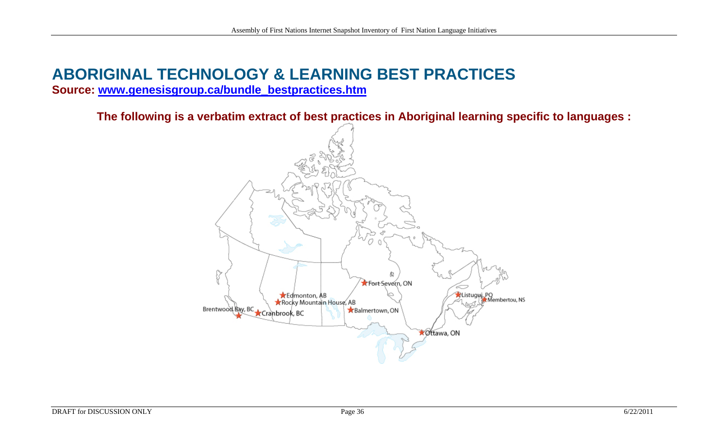# **ABORIGINAL TECHNOLOGY & LEARNING BEST PRACTICES**

**Source: [www.genesisgroup.ca/bundle\\_bestpractices.htm](http://www.genesisgroup.ca/bundle_bestpractices.htm)**

**The following is a verbatim extract of best practices in Aboriginal learning specific to languages :** 

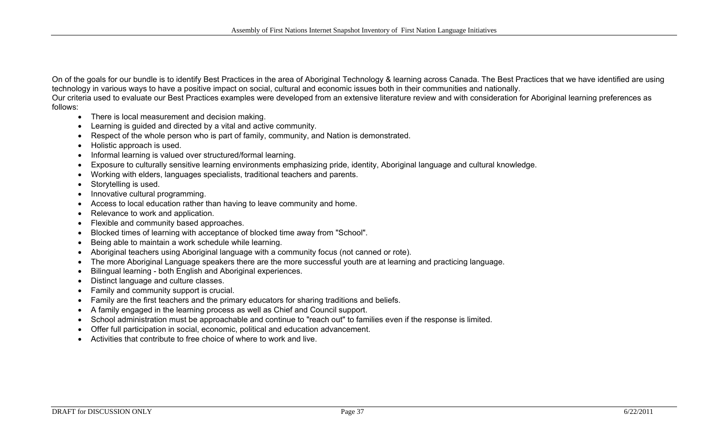On of the goals for our bundle is to identify Best Practices in the area of Aboriginal Technology & learning across Canada. The Best Practices that we have identified are using technology in various ways to have a positive impact on social, cultural and economic issues both in their communities and nationally.

Our criteria used to evaluate our Best Practices examples were developed from an extensive literature review and with consideration for Aboriginal learning preferences as follows:

- There is local measurement and decision making.
- Learning is guided and directed by a vital and active community.
- Respect of the whole person who is part of family, community, and Nation is demonstrated.
- Holistic approach is used.
- Informal learning is valued over structured/formal learning.
- Exposure to culturally sensitive learning environments emphasizing pride, identity, Aboriginal language and cultural knowledge.
- Working with elders, languages specialists, traditional teachers and parents.
- Storytelling is used.
- Innovative cultural programming.
- Access to local education rather than having to leave community and home.
- Relevance to work and application.
- Flexible and community based approaches.
- Blocked times of learning with acceptance of blocked time away from "School".
- Being able to maintain a work schedule while learning.
- Aboriginal teachers using Aboriginal language with a community focus (not canned or rote).
- The more Aboriginal Language speakers there are the more successful youth are at learning and practicing language.
- Bilingual learning both English and Aboriginal experiences.
- Distinct language and culture classes.
- Family and community support is crucial.
- Family are the first teachers and the primary educators for sharing traditions and beliefs.
- A family engaged in the learning process as well as Chief and Council support.
- School administration must be approachable and continue to "reach out" to families even if the response is limited.
- Offer full participation in social, economic, political and education advancement.
- Activities that contribute to free choice of where to work and live.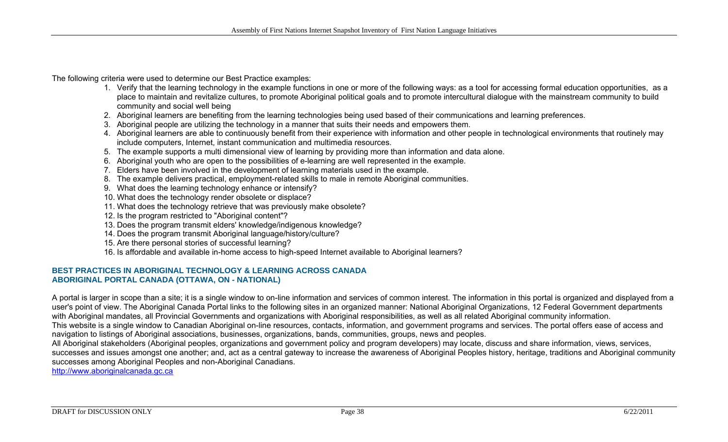The following criteria were used to determine our Best Practice examples:

- 1. Verify that the learning technology in the example functions in one or more of the following ways: as a tool for accessing formal education opportunities, as a place to maintain and revitalize cultures, to promote Aboriginal political goals and to promote intercultural dialogue with the mainstream community to build community and social well being
- 2. Aboriginal learners are benefiting from the learning technologies being used based of their communications and learning preferences.
- 3. Aboriginal people are utilizing the technology in a manner that suits their needs and empowers them.
- 4. Aboriginal learners are able to continuously benefit from their experience with information and other people in technological environments that routinely may include computers, Internet, instant communication and multimedia resources.
- 5. The example supports a multi dimensional view of learning by providing more than information and data alone.
- 6. Aboriginal youth who are open to the possibilities of e-learning are well represented in the example.
- 7. Elders have been involved in the development of learning materials used in the example.
- 8. The example delivers practical, employment-related skills to male in remote Aboriginal communities.
- 9. What does the learning technology enhance or intensify?
- 10. What does the technology render obsolete or displace?
- 11. What does the technology retrieve that was previously make obsolete?
- 12. Is the program restricted to "Aboriginal content"?
- 13. Does the program transmit elders' knowledge/indigenous knowledge?
- 14. Does the program transmit Aboriginal language/history/culture?
- 15. Are there personal stories of successful learning?
- 16. Is affordable and available in-home access to high-speed Internet available to Aboriginal learners?

#### **BEST PRACTICES IN ABORIGINAL TECHNOLOGY & LEARNING ACROSS CANADAABORIGINAL PORTAL CANADA (OTTAWA, ON - NATIONAL)**

A portal is larger in scope than a site; it is a single window to on-line information and services of common interest. The information in this portal is organized and displayed from a user's point of view. The Aboriginal Canada Portal links to the following sites in an organized manner: National Aboriginal Organizations, 12 Federal Government departments with Aboriginal mandates, all Provincial Governments and organizations with Aboriginal responsibilities, as well as all related Aboriginal community information. This website is a single window to Canadian Aboriginal on-line resources, contacts, information, and government programs and services. The portal offers ease of access and navigation to listings of Aboriginal associations, businesses, organizations, bands, communities, groups, news and peoples.

All Aboriginal stakeholders (Aboriginal peoples, organizations and government policy and program developers) may locate, discuss and share information, views, services, successes and issues amongst one another; and, act as a central gateway to increase the awareness of Aboriginal Peoples history, heritage, traditions and Aboriginal community successes among Aboriginal Peoples and non-Aboriginal Canadians.

[http://www.aboriginalcanada.gc.ca](http://www.aboriginalcanada.gc.ca/)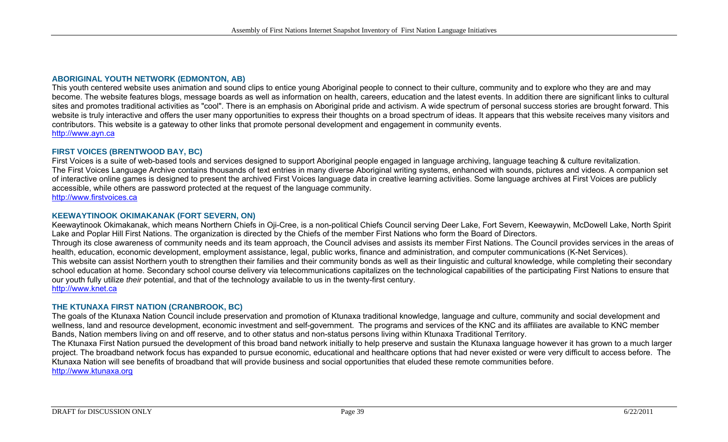#### **ABORIGINAL YOUTH NETWORK (EDMONTON, AB)**

This youth centered website uses animation and sound clips to entice young Aboriginal people to connect to their culture, community and to explore who they are and may become. The website features blogs, message boards as well as information on health, careers, education and the latest events. In addition there are significant links to cultural sites and promotes traditional activities as "cool". There is an emphasis on Aboriginal pride and activism. A wide spectrum of personal success stories are brought forward. This website is truly interactive and offers the user many opportunities to express their thoughts on a broad spectrum of ideas. It appears that this website receives many visitors and contributors. This website is a gateway to other links that promote personal development and engagement in community events. [http://www.ayn.ca](http://www.ayn.ca/)

#### **FIRST VOICES (BRENTWOOD BAY, BC)**

First Voices is a suite of web-based tools and services designed to support Aboriginal people engaged in language archiving, language teaching & culture revitalization. The First Voices Language Archive contains thousands of text entries in many diverse Aboriginal writing systems, enhanced with sounds, pictures and videos. A companion set of interactive online games is designed to present the archived First Voices language data in creative learning activities. Some language archives at First Voices are publicly accessible, while others are password protected at the request of the language community.

[http://www.firstvoices.ca](http://www.firstvoices.ca/)

#### **KEEWAYTINOOK OKIMAKANAK (FORT SEVERN, ON)**

Keewaytinook Okimakanak, which means Northern Chiefs in Oji-Cree, is a non-political Chiefs Council serving Deer Lake, Fort Severn, Keewaywin, McDowell Lake, North Spirit Lake and Poplar Hill First Nations. The organization is directed by the Chiefs of the member First Nations who form the Board of Directors. Through its close awareness of community needs and its team approach, the Council advises and assists its member First Nations. The Council provides services in the areas of health, education, economic development, employment assistance, legal, public works, finance and administration, and computer communications (K-Net Services). This website can assist Northern youth to strengthen their families and their community bonds as well as their linguistic and cultural knowledge, while completing their secondary school education at home. Secondary school course delivery via telecommunications capitalizes on the technological capabilities of the participating First Nations to ensure that our youth fully utilize *their* potential, and that of the technology available to us in the twenty-first century. [http://www.knet.ca](http://www.knet.ca/)

#### **THE KTUNAXA FIRST NATION (CRANBROOK, BC)**

The goals of the Ktunaxa Nation Council include preservation and promotion of Ktunaxa traditional knowledge, language and culture, community and social development and wellness, land and resource development, economic investment and self-government. The programs and services of the KNC and its affiliates are available to KNC member Bands, Nation members living on and off reserve, and to other status and non-status persons living within Ktunaxa Traditional Territory.

The Ktunaxa First Nation pursued the development of this broad band network initially to help preserve and sustain the Ktunaxa language however it has grown to a much larger project. The broadband network focus has expanded to pursue economic, educational and healthcare options that had never existed or were very difficult to access before. The Ktunaxa Nation will see benefits of broadband that will provide business and social opportunities that eluded these remote communities before.

[http://www.ktunaxa.org](http://www.ktunaxa.org/)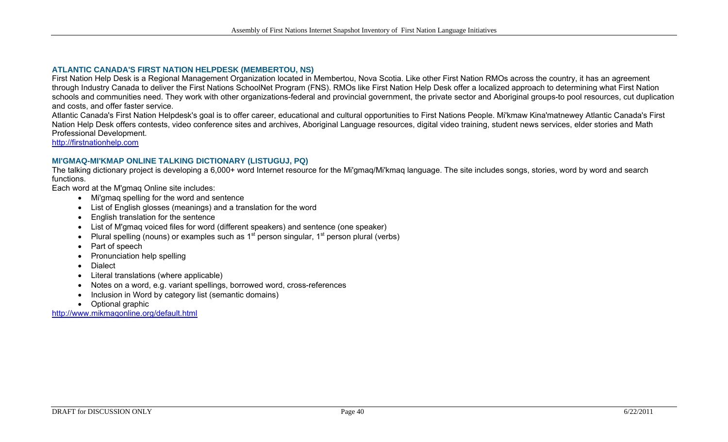#### **ATLANTIC CANADA'S FIRST NATION HELPDESK (MEMBERTOU, NS)**

First Nation Help Desk is a Regional Management Organization located in Membertou, Nova Scotia. Like other First Nation RMOs across the country, it has an agreement through Industry Canada to deliver the First Nations SchoolNet Program (FNS). RMOs like First Nation Help Desk offer a localized approach to determining what First Nation schools and communities need. They work with other organizations-federal and provincial government, the private sector and Aboriginal groups-to pool resources, cut duplication and costs, and offer faster service.

Atlantic Canada's First Nation Helpdesk's goal is to offer career, educational and cultural opportunities to First Nations People. Mi'kmaw Kina'matnewey Atlantic Canada's First Nation Help Desk offers contests, video conference sites and archives, Aboriginal Language resources, digital video training, student news services, elder stories and Math Professional Development.

[http://firstnationhelp.com](http://firstnationhelp.com/)

#### **MI'GMAQ-MI'KMAP ONLINE TALKING DICTIONARY (LISTUGUJ, PQ)**

The talking dictionary project is developing a 6,000+ word Internet resource for the Mi'gmaq/Mi'kmaq language. The site includes songs, stories, word by word and search functions.

Each word at the M'gmaq Online site includes:

- Mi'gmaq spelling for the word and sentence
- List of English glosses (meanings) and a translation for the word
- English translation for the sentence
- List of M'gmaq voiced files for word (different speakers) and sentence (one speaker)
- Plural spelling (nouns) or examples such as  $1<sup>st</sup>$  person singular,  $1<sup>st</sup>$  person plural (verbs)
- Part of speech
- Pronunciation help spelling
- Dialect
- Literal translations (where applicable)
- Notes on a word, e.g. variant spellings, borrowed word, cross-references
- Inclusion in Word by category list (semantic domains)
- Optional graphic

http://www.mikmaqonline.org/default.html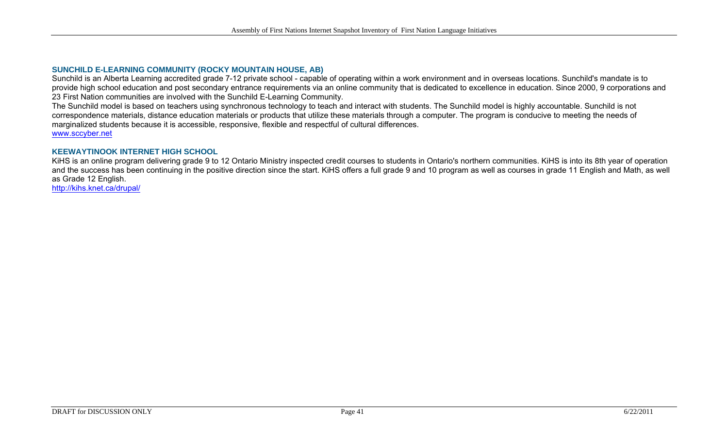#### **SUNCHILD E-LEARNING COMMUNITY (ROCKY MOUNTAIN HOUSE, AB)**

Sunchild is an Alberta Learning accredited grade 7-12 private school - capable of operating within a work environment and in overseas locations. Sunchild's mandate is to provide high school education and post secondary entrance requirements via an online community that is dedicated to excellence in education. Since 2000, 9 corporations and 23 First Nation communities are involved with the Sunchild E-Learning Community.

The Sunchild model is based on teachers using synchronous technology to teach and interact with students. The Sunchild model is highly accountable. Sunchild is not correspondence materials, distance education materials or products that utilize these materials through a computer. The program is conducive to meeting the needs of marginalized students because it is accessible, responsive, flexible and respectful of cultural differences. [www.sccyber.net](http://www.sccyber.net/)

#### **KEEWAYTINOOK INTERNET HIGH SCHOOL**

KiHS is an online program delivering grade 9 to 12 Ontario Ministry inspected credit courses to students in Ontario's northern communities. KiHS is into its 8th year of operation and the success has been continuing in the positive direction since the start. KiHS offers a full grade 9 and 10 program as well as courses in grade 11 English and Math, as well as Grade 12 English.

<http://kihs.knet.ca/drupal/>